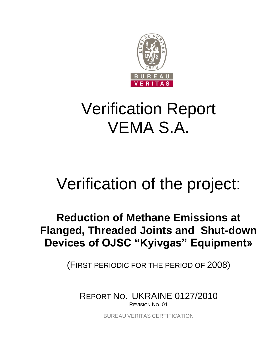

# Verification Report VEMA S.A.

# Verification of the project:

# **Reduction of Methane Emissions at Flanged, Threaded Joints and Shut-down Devices of OJSC "Kyivgas" Equipment»**

(FIRST PERIODIC FOR THE PERIOD OF 2008)

REPORT NO. UKRAINE 0127/2010 REVISION NO. 01

BUREAU VERITAS CERTIFICATION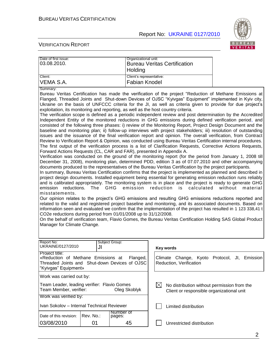

| Date of first issue:<br>03.08.2010.                                                                                                                                                                                                                                                                                                                                                                                                                                                                                                                                                                                                                                                                                                                                                                                                                                                                                                                                                                                                                                                                                                                                                                                                                                                                                                                                                                                                                                                                                                                                                                                                                                                                                                                                                                                                                                                                                                                                                                                                                                                                                                                                                                                                                                                                                                                                                                                                                                                                                                                                                                                                                                                                                      |           | Organizational unit:<br>Holding | <b>Bureau Veritas Certification</b>                                                                     |                                    |
|--------------------------------------------------------------------------------------------------------------------------------------------------------------------------------------------------------------------------------------------------------------------------------------------------------------------------------------------------------------------------------------------------------------------------------------------------------------------------------------------------------------------------------------------------------------------------------------------------------------------------------------------------------------------------------------------------------------------------------------------------------------------------------------------------------------------------------------------------------------------------------------------------------------------------------------------------------------------------------------------------------------------------------------------------------------------------------------------------------------------------------------------------------------------------------------------------------------------------------------------------------------------------------------------------------------------------------------------------------------------------------------------------------------------------------------------------------------------------------------------------------------------------------------------------------------------------------------------------------------------------------------------------------------------------------------------------------------------------------------------------------------------------------------------------------------------------------------------------------------------------------------------------------------------------------------------------------------------------------------------------------------------------------------------------------------------------------------------------------------------------------------------------------------------------------------------------------------------------------------------------------------------------------------------------------------------------------------------------------------------------------------------------------------------------------------------------------------------------------------------------------------------------------------------------------------------------------------------------------------------------------------------------------------------------------------------------------------------------|-----------|---------------------------------|---------------------------------------------------------------------------------------------------------|------------------------------------|
| Client:                                                                                                                                                                                                                                                                                                                                                                                                                                                                                                                                                                                                                                                                                                                                                                                                                                                                                                                                                                                                                                                                                                                                                                                                                                                                                                                                                                                                                                                                                                                                                                                                                                                                                                                                                                                                                                                                                                                                                                                                                                                                                                                                                                                                                                                                                                                                                                                                                                                                                                                                                                                                                                                                                                                  |           | Client's representative:        |                                                                                                         |                                    |
| VEMA S.A.                                                                                                                                                                                                                                                                                                                                                                                                                                                                                                                                                                                                                                                                                                                                                                                                                                                                                                                                                                                                                                                                                                                                                                                                                                                                                                                                                                                                                                                                                                                                                                                                                                                                                                                                                                                                                                                                                                                                                                                                                                                                                                                                                                                                                                                                                                                                                                                                                                                                                                                                                                                                                                                                                                                |           | Fabian Knodel                   |                                                                                                         |                                    |
| Summary:<br>Bureau Veritas Certification has made the verification of the project "Reduction of Methane Emissions at<br>Flanged, Threaded Joints and Shut-down Devices of OJSC "Kyivgas" Equipment" implemented in Kyiv city,<br>Ukraine on the basis of UNFCCC criteria for the JI, as well as criteria given to provide for due project's<br>exploitation, its monitoring and reporting, as well as the host country criteria.<br>The verification scope is defined as a periodic independent review and post determination by the Accredited<br>Independent Entity of the monitored reductions in GHG emissions during defined verification period, and<br>consisted of the following three phases: i) review of the Monitoring Report, Project Design Document and the<br>baseline and monitoring plan; ii) follow-up interviews with project stakeholders; iii) resolution of outstanding<br>issues and the issuance of the final verification report and opinion. The overall verification, from Contract<br>Review to Verification Report & Opinion, was conducted using Bureau Veritas Certification internal procedures.<br>The first output of the verification process is a list of Clarification Requests, Corrective Actions Requests,<br>Forward Actions Requests (CL, CAR and FAR), presented in Appendix A.<br>Verification was conducted on the ground of the monitoring report (for the period from January 1, 2008 till<br>December 31, 2008), monitoring plan, determined PDD, edition 3 as of 07.07.2010 and other accompanying<br>documents produced to the representatives of the Bureau Veritas Certification by the project participants.<br>In summary, Bureau Veritas Certification confirms that the project is implemented as planned and described in<br>project design documents. Installed equipment being essential for generating emission reduction runs reliably<br>and is calibrated appropriately. The monitoring system is in place and the project is ready to generate GHG<br>emission<br>reductions.<br>The<br><b>GHG</b><br>emission<br>reduction<br>calculated<br>without<br>is<br>material<br>misstatements.<br>Our opinion relates to the project's GHG emissions and resulting GHG emissions reductions reported and<br>related to the valid and registered project baseline and monitoring, and its associated documents. Based on<br>information seen and evaluated we confirm that the implementation of the project has resulted in 1 123 338,41 t<br>CO2e reductions during period from 01/01/2008 up to 31/12/2008.<br>On the behalf of verification team, Flavio Gomes, the Bureau Veritas Certification Holding SAS Global Product<br>Manager for Climate Change. |           |                                 |                                                                                                         |                                    |
| Report No:<br>UKRAINE/0127/2010                                                                                                                                                                                                                                                                                                                                                                                                                                                                                                                                                                                                                                                                                                                                                                                                                                                                                                                                                                                                                                                                                                                                                                                                                                                                                                                                                                                                                                                                                                                                                                                                                                                                                                                                                                                                                                                                                                                                                                                                                                                                                                                                                                                                                                                                                                                                                                                                                                                                                                                                                                                                                                                                                          | JI        | Subject Group:                  | Key words                                                                                               |                                    |
| Project title:<br>«Reduction of Methane Emissions at<br>Flanged,<br>Threaded Joints and Shut-down Devices of OJSC<br>"Kyivgas" Equipment»                                                                                                                                                                                                                                                                                                                                                                                                                                                                                                                                                                                                                                                                                                                                                                                                                                                                                                                                                                                                                                                                                                                                                                                                                                                                                                                                                                                                                                                                                                                                                                                                                                                                                                                                                                                                                                                                                                                                                                                                                                                                                                                                                                                                                                                                                                                                                                                                                                                                                                                                                                                |           |                                 | Climate Change,<br>Reduction, Verification                                                              | Kyoto Protocol,<br>Emission<br>JI. |
| Work was carried out by:                                                                                                                                                                                                                                                                                                                                                                                                                                                                                                                                                                                                                                                                                                                                                                                                                                                                                                                                                                                                                                                                                                                                                                                                                                                                                                                                                                                                                                                                                                                                                                                                                                                                                                                                                                                                                                                                                                                                                                                                                                                                                                                                                                                                                                                                                                                                                                                                                                                                                                                                                                                                                                                                                                 |           |                                 |                                                                                                         |                                    |
| Team Leader, leading verifier: Flavio Gomes<br>Team Member, verifier:<br>Oleg Skoblyk                                                                                                                                                                                                                                                                                                                                                                                                                                                                                                                                                                                                                                                                                                                                                                                                                                                                                                                                                                                                                                                                                                                                                                                                                                                                                                                                                                                                                                                                                                                                                                                                                                                                                                                                                                                                                                                                                                                                                                                                                                                                                                                                                                                                                                                                                                                                                                                                                                                                                                                                                                                                                                    |           |                                 | $\boxtimes$<br>No distribution without permission from the<br>Client or responsible organizational unit |                                    |
| Work was verified by:                                                                                                                                                                                                                                                                                                                                                                                                                                                                                                                                                                                                                                                                                                                                                                                                                                                                                                                                                                                                                                                                                                                                                                                                                                                                                                                                                                                                                                                                                                                                                                                                                                                                                                                                                                                                                                                                                                                                                                                                                                                                                                                                                                                                                                                                                                                                                                                                                                                                                                                                                                                                                                                                                                    |           |                                 |                                                                                                         |                                    |
| Ivan Sokolov - Internal Technical Reviewer                                                                                                                                                                                                                                                                                                                                                                                                                                                                                                                                                                                                                                                                                                                                                                                                                                                                                                                                                                                                                                                                                                                                                                                                                                                                                                                                                                                                                                                                                                                                                                                                                                                                                                                                                                                                                                                                                                                                                                                                                                                                                                                                                                                                                                                                                                                                                                                                                                                                                                                                                                                                                                                                               |           | Number of                       | Limited distribution                                                                                    |                                    |
| Date of this revision:                                                                                                                                                                                                                                                                                                                                                                                                                                                                                                                                                                                                                                                                                                                                                                                                                                                                                                                                                                                                                                                                                                                                                                                                                                                                                                                                                                                                                                                                                                                                                                                                                                                                                                                                                                                                                                                                                                                                                                                                                                                                                                                                                                                                                                                                                                                                                                                                                                                                                                                                                                                                                                                                                                   | Rev. No.: | pages:                          |                                                                                                         |                                    |
| 03/08/2010                                                                                                                                                                                                                                                                                                                                                                                                                                                                                                                                                                                                                                                                                                                                                                                                                                                                                                                                                                                                                                                                                                                                                                                                                                                                                                                                                                                                                                                                                                                                                                                                                                                                                                                                                                                                                                                                                                                                                                                                                                                                                                                                                                                                                                                                                                                                                                                                                                                                                                                                                                                                                                                                                                               | 01        | 45                              | Unrestricted distribution                                                                               |                                    |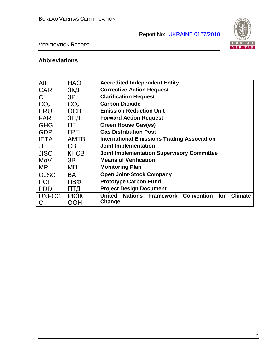

# VERIFICATION REPORT

# **Abbreviations**

| <b>AIE</b>      | <b>HAO</b>      | <b>Accredited Independent Entity</b>                                          |  |  |
|-----------------|-----------------|-------------------------------------------------------------------------------|--|--|
| <b>CAR</b>      | ЗКД             | <b>Corrective Action Request</b>                                              |  |  |
| <b>CL</b>       | 3P              | <b>Clarification Request</b>                                                  |  |  |
| CO <sub>2</sub> | CO <sub>2</sub> | <b>Carbon Dioxide</b>                                                         |  |  |
| <b>ERU</b>      | <b>OCB</b>      | <b>Emission Reduction Unit</b>                                                |  |  |
| <b>FAR</b>      | ЗПД             | <b>Forward Action Request</b>                                                 |  |  |
| <b>GHG</b>      | ПΓ              | <b>Green House Gas(es)</b>                                                    |  |  |
| <b>GDP</b>      | ГРП             | <b>Gas Distribution Post</b>                                                  |  |  |
| <b>IETA</b>     | <b>AMTB</b>     | <b>International Emissions Trading Association</b>                            |  |  |
| JI              | CB              | <b>Joint Implementation</b>                                                   |  |  |
| <b>JISC</b>     | <b>KHCB</b>     | <b>Joint Implementation Supervisory Committee</b>                             |  |  |
| MoV             | 3B              | <b>Means of Verification</b>                                                  |  |  |
| <b>MP</b>       | ΜП              | <b>Monitoring Plan</b>                                                        |  |  |
| <b>OJSC</b>     | <b>BAT</b>      | <b>Open Joint-Stock Company</b>                                               |  |  |
| <b>PCF</b>      | ПВФ             | <b>Prototype Carbon Fund</b>                                                  |  |  |
| <b>PDD</b>      | ПТД             | <b>Project Design Document</b>                                                |  |  |
| <b>UNFCC</b>    | <b>PK3K</b>     | <b>Nations Framework Convention</b><br><b>United</b><br>for<br><b>Climate</b> |  |  |
| C               | OOH             | Change                                                                        |  |  |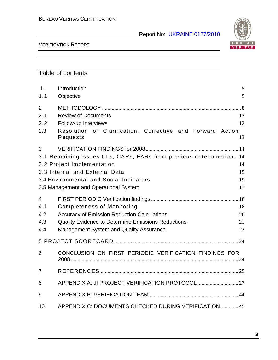

# VERIFICATION REPORT

# Table of contents

| 1 <sub>1</sub><br>1.1               | Introduction<br>Objective                                                                                                                                                                                                | 5<br>5               |  |  |
|-------------------------------------|--------------------------------------------------------------------------------------------------------------------------------------------------------------------------------------------------------------------------|----------------------|--|--|
| $\overline{2}$<br>2.1<br>2.2<br>2.3 | <b>Review of Documents</b><br>Follow-up Interviews<br>Resolution of Clarification, Corrective and Forward Action<br>Requests                                                                                             | 12<br>12<br>13       |  |  |
| 3                                   | 3.1 Remaining issues CLs, CARs, FARs from previous determination. 14<br>3.2 Project Implementation<br>3.3 Internal and External Data<br>3.4 Environmental and Social Indicators<br>3.5 Management and Operational System | 14<br>15<br>19<br>17 |  |  |
| 4<br>4.1<br>4.2<br>4.3<br>4.4       | <b>Completeness of Monitoring</b><br>18<br><b>Accuracy of Emission Reduction Calculations</b><br>20<br>Quality Evidence to Determine Emissions Reductions<br>21<br>Management System and Quality Assurance<br>22         |                      |  |  |
|                                     |                                                                                                                                                                                                                          |                      |  |  |
| 6                                   | CONCLUSION ON FIRST PERIODIC VERIFICATION FINDINGS FOR                                                                                                                                                                   |                      |  |  |
| 7                                   |                                                                                                                                                                                                                          |                      |  |  |
| 8                                   |                                                                                                                                                                                                                          |                      |  |  |
| 9                                   |                                                                                                                                                                                                                          |                      |  |  |
| 10                                  | APPENDIX C: DOCUMENTS CHECKED DURING VERIFICATION 45                                                                                                                                                                     |                      |  |  |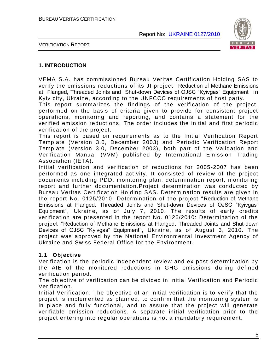

VERIFICATION REPORT

#### **1. INTRODUCTION**

VEMA S.A. has commissioned Bureau Veritas Certification Holding SAS to verify the emissions reductions of its JI project "Reduction of Methane Emissions at Flanged, Threaded Joints and Shut-down Devices of OJSC "Kyivgas" Equipment" in Kyiv city, Ukraine, according to the UNFCCC requirements of host party.

This report summarizes the findings of the verification of the project, performed on the basis of criteria given to provide for consistent project operations, monitoring and reporting, and contains a statement for the verified emission reductions. The order includes the initial and first periodic verification of the project.

This report is based on requirements as to the Initial Verification Report Template (Version 3.0, December 2003) and Periodic Verification Report Template (Version 3.0, December 2003), both part of the Validation and Verification Manual (VVM) published by International Emission Trading Association (IETA).

Initial verification and verification of reductions for 2005 -2007 has been performed as one integrated activity. It consisted of review of the project documents including PDD, monitoring plan, determination report, monitoring report and further documentation.Project determination was conducted by Bureau Veritas Certification Holding SAS. Determination results are given in the report No. 0125/2010: Determination of the project " Reduction of Methane Emissions at Flanged, Threaded Joints and Shut-down Devices of OJSC "Kyivgas" Equipment", Ukraine, as of July 7, 2010. The results of early credits verification are presented in the report No. 0126/2010: Determination of the project "Reduction of Methane Emissions at Flanged, Threaded Joints and Shut-down Devices of OJSC "Kyivgas" Equipment", Ukraine, as of August 3, 2010. The project was approved by the National Environmental Investment Agency of Ukraine and Swiss Federal Office for the Environment.

# **1.1 Objective**

Verification is the periodic independent review and ex post determination by the AIE of the monitored reductions in GHG emissions during defined verification period.

The objective of verification can be divided in Initial Verification and Periodic Verification.

Initial Verification: The objective of an initial verification is to verify that the project is implemented as planned, to confirm that the monitoring system is in place and fully functional, and to assure that the project will generate verifiable emission reductions. A separate initial verification prior to the project entering into regular operations is not a mandatory require ment.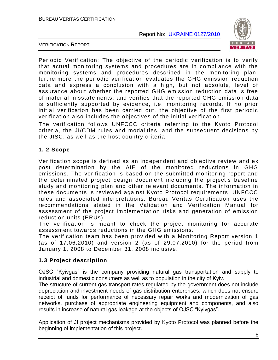

VERIFICATION REPORT

Periodic Verification: The objective of the periodic verification is to verify that actual monitoring systems and procedures are in compliance with the monitoring systems and procedures described in the monitoring plan; furthermore the periodic verification evaluates the GHG emission reduction data and express a conclusion with a high, but not absolute, level of assurance about whether the reported GHG emission reduction data is free of material misstatements; and verifies that the reported GHG emiss ion data is sufficiently supported by evidence, i.e. monitoring records. If no prior initial verification has been carried out, the objective of the first periodic verification also includes the objectives of the initial verification.

The verification follows UNFCCC criteria referring to the Kyoto Protocol criteria, the JI/CDM rules and modalities, and the subsequent decisions by the JISC, as well as the host country criteria.

### **1. 2 Scope**

Verification scope is defined as an independent and objective review and ex post determination by the AIE of the monitored reductions in GHG emissions. The verification is based on the submitted monitoring report and the determinated project design document including the project"s baseline study and monitoring plan and other relevant documents. The information in these documents is reviewed against Kyoto Protocol requirements, UNFCCC rules and associated interpretations. Bureau Veritas Certification uses the recommendations stated in the Validation and Verification Manual for assessment of the project implementation risks and generation of emission reduction units (ERUs).

The verification is meant to check the project monitoring for accurate assessment towards reductions in the GHG emissions.

The verification team has been provided with a Monitoring Report version 1 (as of 17.06.2010) and version 2 (as of 29.07.2010) for the period from January 1, 2008 to December 31, 2008 inclusive.

#### **1.3 Project description**

OJSC "Kyivgas" is the company providing natural gas transportation and supply to industrial and domestic consumers as well as to population in the city of Kyiv.

The structure of current gas transport rates regulated by the government does not include depreciation and investment needs of gas distribution enterprises, which does not ensure receipt of funds for performance of necessary repair works and modernization of gas networks, purchase of appropriate engineering equipment and components, and also results in increase of natural gas leakage at the objects of OJSC "Kyivgas".

Application of JI project mechanisms provided by Kyoto Protocol was planned before the beginning of implementation of this project.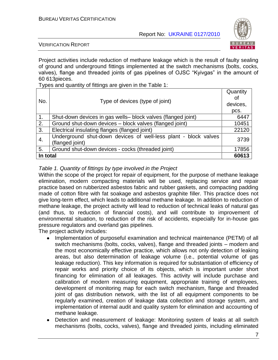

#### VERIFICATION REPORT

Project activities include reduction of methane leakage which is the result of faulty sealing of ground and underground fittings implemented at the switch mechanisms (bolts, cocks, valves), flange and threaded joints of gas pipelines of OJSC "Kyivgas" in the amount of 60 613pieces.

Types and quantity of fittings are given in the Table 1:

| No.              | Type of devices (type of joint)                                                    |       |
|------------------|------------------------------------------------------------------------------------|-------|
|                  |                                                                                    | pcs.  |
| $\mathbf{1}$ .   | Shut-down devices in gas wells- block valves (flanged joint)                       | 6447  |
| 2.               | Ground shut-down devices - block valves (flanged joint)                            | 10451 |
| $\overline{3}$ . | Electrical insulating flanges (flanged joint)                                      | 22120 |
| 4.               | Underground shut-down devices of well-less plant - block valves<br>(flanged joint) | 3739  |
| 5.               | Ground shut-down devices - cocks (threaded joint)                                  | 17856 |
| In total         |                                                                                    | 60613 |

### *Table 1. Quantity of fittings by type involved in the Project*

Within the scope of the project for repair of equipment, for the purpose of methane leakage elimination, modern compacting materials will be used, replacing service and repair practice based on rubberized asbestos fabric and rubber gaskets, and compacting padding made of cotton fibre with fat soakage and asbestos graphite filler. This practice does not give long-term effect, which leads to additional methane leakage. In addition to reduction of methane leakage, the project activity will lead to reduction of technical leaks of natural gas (and thus, to reduction of financial costs), and will contribute to improvement of environmental situation, to reduction of the risk of accidents, especially for in-house gas pressure regulators and overland gas pipelines.

The project activity includes:

- Implementation of purposeful examination and technical maintenance (PETM) of all  $\bullet$ switch mechanisms (bolts, cocks, valves), flange and threaded joints – modern and the most economically effective practice, which allows not only detection of leaking areas, but also determination of leakage volume (i.e., potential volume of gas leakage reduction). This key information is required for substantiation of efficiency of repair works and priority choice of its objects, which is important under short financing for elimination of all leakages. This activity will include purchase and calibration of modern measuring equipment, appropriate training of employees, development of monitoring map for each switch mechanism, flange and threaded joint of gas distribution network, with the list of all equipment components to be regularly examined, creation of leakage data collection and storage system, and implementation of internal audit and quality system for elimination and accounting of methane leakage.
- Detection and measurement of leakage: Monitoring system of leaks at all switch  $\bullet$ mechanisms (bolts, cocks, valves), flange and threaded joints, including eliminated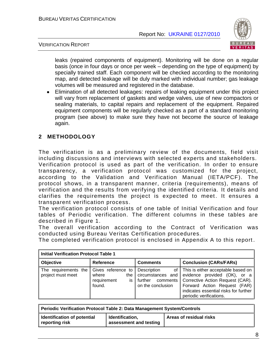



leaks (repaired components of equipment). Monitoring will be done on a regular basis (once in four days or once per week – depending on the type of equipment) by specially trained staff. Each component will be checked according to the monitoring map, and detected leakage will be duly marked with individual number; gas leakage volumes will be measured and registered in the database.

Elimination of all detected leakages: repairs of leaking equipment under this project will vary from replacement of gaskets and wedge valves, use of new compactors or sealing materials, to capital repairs and replacement of the equipment. Repaired equipment components will be regularly checked as a part of a standard monitoring program (see above) to make sure they have not become the source of leakage again.

# **2 METHODOLOGY**

The verification is as a preliminary review of the documents, field visit including discussions and interviews with selected experts and stakeholders. Verification protocol is used as part of the verification. In order to ensure transparency, a verification protocol was customized for the project, according to the Validation and Verification Manual (IETA/PCF). The protocol shows, in a transparent manner, criteria (requirements), means of verification and the results from verifying the identified criteria. It details and clarifies the requirements the project is expected to meet. It ensures a transparent verification process.

The verification protocol consists of one table of Initial Verification and four tables of Periodic verification. The different columns in these tables are described in Figure 1.

The overall verification according to the Contract of Verification was conducted using Bureau Veritas Certification procedures.

The completed verification protocol is enclosed in Appendix A to this report .

| <b>Initial Verification Protocol Table 1</b> |                                                                    |                                                                                      |                                                                                                                                                                                                            |  |
|----------------------------------------------|--------------------------------------------------------------------|--------------------------------------------------------------------------------------|------------------------------------------------------------------------------------------------------------------------------------------------------------------------------------------------------------|--|
| <b>Objective</b>                             | <b>Reference</b>                                                   | <b>Comments</b>                                                                      | <b>Conclusion (CARs/FARs)</b>                                                                                                                                                                              |  |
| The requirements the<br>project must meet    | Gives reference to<br>where<br>the<br>requirement<br>İS.<br>found. | Description<br>of I<br>circumstances and<br>further<br>comments<br>on the conclusion | This is either acceptable based on<br>evidence provided (OK), or a<br>Corrective Action Request (CAR).<br>Forward Action Request (FAR)<br>indicates essential risks for further<br>periodic verifications. |  |

| <b>Periodic Verification Protocol Table 2: Data Management System/Controls</b> |                                           |                         |  |  |
|--------------------------------------------------------------------------------|-------------------------------------------|-------------------------|--|--|
| Identification of potential<br>reporting risk                                  | Identification,<br>assessment and testing | Areas of residual risks |  |  |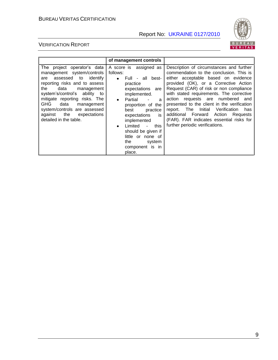

|                                                                                                                                                                                                                                                                                                                                                                | of management controls                                                                                                                                                                                                                                                                                                                                       |                                                                                                                                                                                                                                                                                                                                                                                                                                                                                                                              |
|----------------------------------------------------------------------------------------------------------------------------------------------------------------------------------------------------------------------------------------------------------------------------------------------------------------------------------------------------------------|--------------------------------------------------------------------------------------------------------------------------------------------------------------------------------------------------------------------------------------------------------------------------------------------------------------------------------------------------------------|------------------------------------------------------------------------------------------------------------------------------------------------------------------------------------------------------------------------------------------------------------------------------------------------------------------------------------------------------------------------------------------------------------------------------------------------------------------------------------------------------------------------------|
| The project operator's data<br>management system/controls<br>identify<br>assessed to<br>are<br>reporting risks and to assess<br>data<br>the<br>management<br>system's/control's ability<br>to<br>mitigate reporting risks. The<br><b>GHG</b><br>data<br>management<br>system/controls are assessed<br>the<br>against<br>expectations<br>detailed in the table. | A score is assigned as<br>follows:<br>Full - all best-<br>٠<br>practice<br>expectations<br>are<br>implemented.<br>Partial<br>a<br>$\bullet$<br>proportion of the<br>practice<br>best<br>expectations<br>is<br>implemented<br>Limited<br>this<br>$\sim$<br>$\bullet$<br>should be given if<br>little or none of<br>the<br>system<br>component is in<br>place. | Description of circumstances and further<br>commendation to the conclusion. This is<br>either acceptable based on evidence<br>provided (OK), or a Corrective Action<br>Request (CAR) of risk or non compliance<br>with stated requirements. The corrective<br>requests are numbered<br>action<br>and<br>presented to the client in the verification<br>report. The<br>Initial<br>Verification<br>has<br>additional Forward Action<br>Requests<br>(FAR). FAR indicates essential risks for<br>further periodic verifications. |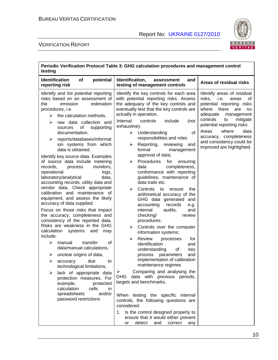

| Periodic Verification Protocol Table 3: GHG calculation procedures and management control<br>testing                                                                                                                                                                                                                                                                                                                                                                                                                                                                                                                                                                                                                                                                                                                                                                                                                                                                                                                                                                                                                                                                                                                |                                                                                                                                                                                                                                                                                                                                                                                                                                                                                                                                                                                                                                                                                                                                                                                                                                                                                                                                                                                                                                                                                                                                                                                                                                                                                                                                                       |                                                                                                                                                                                                                                                                                                                           |  |  |
|---------------------------------------------------------------------------------------------------------------------------------------------------------------------------------------------------------------------------------------------------------------------------------------------------------------------------------------------------------------------------------------------------------------------------------------------------------------------------------------------------------------------------------------------------------------------------------------------------------------------------------------------------------------------------------------------------------------------------------------------------------------------------------------------------------------------------------------------------------------------------------------------------------------------------------------------------------------------------------------------------------------------------------------------------------------------------------------------------------------------------------------------------------------------------------------------------------------------|-------------------------------------------------------------------------------------------------------------------------------------------------------------------------------------------------------------------------------------------------------------------------------------------------------------------------------------------------------------------------------------------------------------------------------------------------------------------------------------------------------------------------------------------------------------------------------------------------------------------------------------------------------------------------------------------------------------------------------------------------------------------------------------------------------------------------------------------------------------------------------------------------------------------------------------------------------------------------------------------------------------------------------------------------------------------------------------------------------------------------------------------------------------------------------------------------------------------------------------------------------------------------------------------------------------------------------------------------------|---------------------------------------------------------------------------------------------------------------------------------------------------------------------------------------------------------------------------------------------------------------------------------------------------------------------------|--|--|
| <b>Identification</b><br>of<br>potential<br>reporting risk                                                                                                                                                                                                                                                                                                                                                                                                                                                                                                                                                                                                                                                                                                                                                                                                                                                                                                                                                                                                                                                                                                                                                          | Identification,<br>and<br>assessment<br>testing of management controls                                                                                                                                                                                                                                                                                                                                                                                                                                                                                                                                                                                                                                                                                                                                                                                                                                                                                                                                                                                                                                                                                                                                                                                                                                                                                | Areas of residual risks                                                                                                                                                                                                                                                                                                   |  |  |
| Identify and list potential reporting<br>risks based on an assessment of<br>the<br>emission<br>estimation<br>procedures, i.e.<br>the calculation methods,<br>≻<br>raw data collection and<br>⋗<br>of<br>supporting<br>sources<br>documentation,<br>reports/databases/informat<br>⋗<br>ion systems from which<br>data is obtained.<br>Identify key source data. Examples<br>of source data include metering<br>monitors,<br>records,<br>process<br>operational<br>logs,<br>laboratory/analytical<br>data,<br>accounting records, utility data and<br>vendor data. Check appropriate<br>calibration and maintenance of<br>equipment, and assess the likely<br>accuracy of data supplied.<br>Focus on those risks that impact<br>the accuracy, completeness and<br>consistency of the reported data.<br>Risks are weakness in the GHG<br>calculation<br>systems<br>and<br>may<br>include:<br>➤<br>transfer<br>οf<br>manual<br>data/manual calculations,<br>unclear origins of data,<br>➤<br>➤<br>due<br>accuracy<br>to<br>technological limitations,<br>lack of appropriate data<br>protection measures. For<br>example,<br>protected<br>calculation<br>cells<br>in<br>and/or<br>spreadsheets<br>password restrictions | Identify the key controls for each area<br>with potential reporting risks. Assess<br>the adequacy of the key controls and<br>eventually test that the key controls are<br>actually in operation.<br>Internal<br>controls<br>include<br>(not<br>exhaustive):<br>$\triangleright$ Understanding<br>οf<br>responsibilities and roles<br>Reporting, reviewing<br>➤<br>and<br>formal<br>management<br>approval of data;<br>Procedures<br>for<br>ensuring<br>➤<br>completeness,<br>data<br>conformance with reporting<br>guidelines, maintenance of<br>data trails etc.<br>➤<br>Controls<br>to<br>ensure<br>the<br>arithmetical accuracy of the<br>GHG data generated<br>and<br>accounting<br>records<br>e.g.<br>internal<br>audits,<br>and<br>checking/<br>review<br>procedures;<br>Controls over the computer<br>➤<br>information systems;<br>➤<br>Review<br>processes<br>for<br>identification<br>and<br>understanding<br>key<br>οf<br>parameters<br>and<br>process<br>implementation of calibration<br>maintenance regimes<br>Comparing and analysing the<br>➤<br>data with previous periods,<br>GHG<br>targets and benchmarks.<br>When testing the specific internal<br>controls, the following questions are<br>considered:<br>1. Is the control designed properly to<br>ensure that it would either prevent<br>detect<br>and<br>correct<br>or<br>any | Identify areas of residual<br>risks,<br>i.e.<br>areas<br>οf<br>potential reporting risks<br>there<br>where<br>are<br>no<br>adequate<br>management<br>controls<br>mitigate<br>to<br>potential reporting risks<br>Areas<br>where<br>data<br>accuracy, completeness<br>and consistency could be<br>improved are highlighted. |  |  |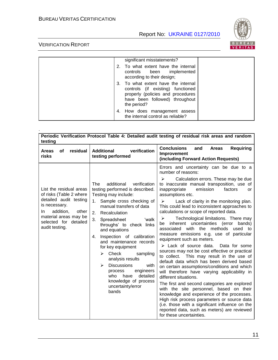

|  | significant misstatements?                                                                                                                                     |  |
|--|----------------------------------------------------------------------------------------------------------------------------------------------------------------|--|
|  | 2. To what extent have the internal<br>controls been implemented<br>according to their design;                                                                 |  |
|  | 3. To what extent have the internal<br>controls (if existing) functioned<br>properly (policies and procedures<br>have been followed) throughout<br>the period? |  |
|  | 4. How does management assess<br>the internal control as reliable?                                                                                             |  |

| testing                                                                                                                                                                                        |                                                                                                                                                                                                                                                                                                                                                                                                                                                                                                                                                               | Periodic Verification Protocol Table 4: Detailed audit testing of residual risk areas and random                                                                                                                                                                                                                                                                                                                                                                                                                                                                                                                                                                                                                                                                                                                                                                                                                                                                                                                                                                                                                                                                                                                                                                     |
|------------------------------------------------------------------------------------------------------------------------------------------------------------------------------------------------|---------------------------------------------------------------------------------------------------------------------------------------------------------------------------------------------------------------------------------------------------------------------------------------------------------------------------------------------------------------------------------------------------------------------------------------------------------------------------------------------------------------------------------------------------------------|----------------------------------------------------------------------------------------------------------------------------------------------------------------------------------------------------------------------------------------------------------------------------------------------------------------------------------------------------------------------------------------------------------------------------------------------------------------------------------------------------------------------------------------------------------------------------------------------------------------------------------------------------------------------------------------------------------------------------------------------------------------------------------------------------------------------------------------------------------------------------------------------------------------------------------------------------------------------------------------------------------------------------------------------------------------------------------------------------------------------------------------------------------------------------------------------------------------------------------------------------------------------|
| residual<br>οf<br><b>Areas</b><br>risks                                                                                                                                                        | verification<br><b>Additional</b><br>testing performed                                                                                                                                                                                                                                                                                                                                                                                                                                                                                                        | <b>Conclusions</b><br><b>Requiring</b><br><b>Areas</b><br>and<br>Improvement<br>(including Forward Action Requests)                                                                                                                                                                                                                                                                                                                                                                                                                                                                                                                                                                                                                                                                                                                                                                                                                                                                                                                                                                                                                                                                                                                                                  |
| List the residual areas<br>of risks (Table 2 where<br>detailed audit testing<br>is necessary.<br>addition,<br>other<br>In.<br>material areas may be<br>selected for detailed<br>audit testing. | additional<br>verification<br>The<br>testing performed is described.<br>Testing may include:<br>Sample cross checking of<br>1.<br>manual transfers of data<br>2.<br>Recalculation<br>3.<br>Spreadsheet<br>'walk<br>throughs' to check links<br>and equations<br>Inspection of calibration<br>4.<br>and maintenance records<br>for key equipment<br>Check<br>≻<br>sampling<br>analysis results<br><b>Discussions</b><br>$\blacktriangleright$<br>with<br>engineers<br>process<br>detailed<br>who<br>have<br>knowledge of process<br>uncertainty/error<br>bands | Errors and uncertainty can be due to a<br>number of reasons:<br>Calculation errors. These may be due<br>≻<br>to inaccurate manual transposition, use of<br>emission<br>inappropriate<br>factors<br>or<br>assumptions etc.<br>Lack of clarity in the monitoring plan.<br>$\blacktriangleright$<br>This could lead to inconsistent approaches to<br>calculations or scope of reported data.<br>Technological limitations. There may<br>➤<br>inherent uncertainties (error<br>bands)<br>be<br>with the methods<br>associated<br>used to<br>measure emissions e.g. use of particular<br>equipment such as meters.<br>$\triangleright$ Lack of source data.<br>Data for some<br>sources may not be cost effective or practical<br>to collect.<br>This may result in the use of<br>default data which has been derived based<br>on certain assumptions/conditions and which<br>will therefore have varying applicability in<br>different situations.<br>The first and second categories are explored<br>with the site personnel, based on their<br>knowledge and experience of the processes.<br>High risk process parameters or source data<br>(i.e. those with a significant influence on the<br>reported data, such as meters) are reviewed<br>for these uncertainties. |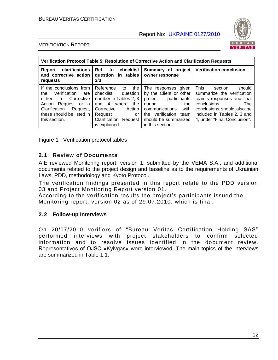

#### VERIFICATION REPORT

| Verification Protocol Table 5: Resolution of Corrective Action and Clarification Requests                                                                                            |                                                                                                                                                                                           |                                                                                                                                                                                          |                                                                                                                                                                                                                  |  |
|--------------------------------------------------------------------------------------------------------------------------------------------------------------------------------------|-------------------------------------------------------------------------------------------------------------------------------------------------------------------------------------------|------------------------------------------------------------------------------------------------------------------------------------------------------------------------------------------|------------------------------------------------------------------------------------------------------------------------------------------------------------------------------------------------------------------|--|
| clarifications<br>Report<br>and corrective action<br>requests                                                                                                                        | Ref.<br>to checklist<br>question in tables<br>2/3                                                                                                                                         | Summary of project<br>owner response                                                                                                                                                     | <b>Verification conclusion</b>                                                                                                                                                                                   |  |
| If the conclusions from<br>Verification<br>the<br>are<br>either<br>a Corrective<br>Action<br>Request or a<br>Clarification<br>Request,<br>these should be listed in<br>this section. | Reference<br>the<br>to<br>checklist<br>question<br>number in Tables 2, 3<br>where<br>and $4$<br>the<br>Corrective<br>Action<br>Request<br>or<br>Clarification<br>Request<br>is explained. | The responses given<br>by the Client or other<br>project participants<br>during<br>the<br>with<br>communications<br>verification team<br>the<br>should be summarized<br>in this section. | This<br>should<br>section<br>summarize the verification<br>team's responses and final<br>conclusions.<br><b>The</b><br>conclusions should also be<br>included in Tables 2, 3 and<br>4, under "Final Conclusion". |  |

Figure 1 Verification protocol tables

#### **2.1 Review of Documents**

AIE reviewed Monitoring report, version 1, submitted by the VEMA S.A., and additional documents related to the project design and baseline as to the requirements of Ukrainian Laws, PDD, methodology and Kyoto Protocol.

The verification findings presented in this report relate to the PDD version 03 and Project Monitoring Report version 01.

According to the verification results the project"s participants issued the Monitoring report, version 02 as of 29.07.2010, which is final.

#### **2.2 Follow-up Interviews**

On 20/07/2010 verifiers of "Bureau Veritas Certification Holding SAS" performed interviews with project stakeholders to confirm selected information and to resolve issues identified in the document review. Representatives of OJSC «Kyivgas» were interviewed. The main topics of the interviews are summarized in Table 1.1.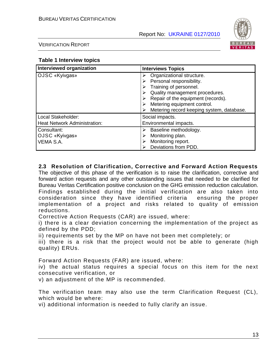

VERIFICATION REPORT

#### **Table 1 Interview topics**

| <b>Interviewed organization</b>                           | <b>Interviews Topics</b>                                                                                                                                                                                                            |  |
|-----------------------------------------------------------|-------------------------------------------------------------------------------------------------------------------------------------------------------------------------------------------------------------------------------------|--|
| OJSC «Kyivgas»                                            | Organizational structure.<br>Personal responsibility.<br>Training of personnel.<br>Quality management procedures.<br>Repair of the equipment (records).<br>Metering equipment control.<br>Metering record keeping system, database. |  |
| Local Stakeholder:<br><b>Heat Network Administration:</b> | Social impacts.<br>Environmental impacts.                                                                                                                                                                                           |  |
| Consultant:<br>OJSC «Kyivgas»<br>VEMA S.A.                | Baseline methodology.<br>Monitoring plan.<br>Monitoring report.<br>Deviations from PDD.                                                                                                                                             |  |

#### **2.3 Resolution of Clarification, Corrective and Forward Action Requests**

The objective of this phase of the verification is to raise the clarification, corrective and forward action requests and any other outstanding issues that needed to be clarified for Bureau Veritas Certification positive conclusion on the GHG emission reduction calculation. Findings established during the initial verification are also taken into consideration since they have identified criteria ensuring the proper implementation of a project and risks related to quality of emission reductions.

Corrective Action Requests (CAR) are issued, where:

i) there is a clear deviation concerning the implementation of the project as defined by the PDD;

ii) requirements set by the MP on have not been met completely; or

iii) there is a risk that the project would not be able to generate (high quality) ERUs.

Forward Action Requests (FAR) are issued, where:

iv) the actual status requires a special focus on this item for the next consecutive verification, or

v) an adjustment of the MP is recommended.

The verification team may also use the term Clarification Request (CL), which would be where:

vi) additional information is needed to fully clarify an issue.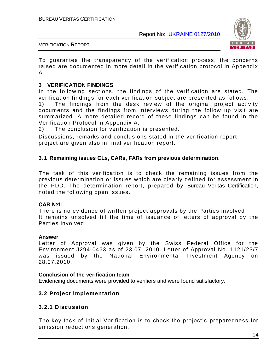

#### VERIFICATION REPORT

To guarantee the transparency of the verification process, the concerns raised are documented in more detail in the verification protocol in Appendix A.

#### **3 VERIFICATION FINDINGS**

In the following sections, the findings of the verification are stated. The verification findings for each verification subject are presented as follows:

1) The findings from the desk review of the original project activity documents and the findings from interviews during the follow up visit are summarized. A more detailed record of these findings can be found in the Verification Protocol in Appendix A.

2) The conclusion for verification is presented.

Discussions, remarks and conclusions stated in the verification report project are given also in final verification report.

#### **3.1 Remaining issues CLs, CARs, FARs from previous determination.**

The task of this verification is to check the remaining issues from the previous determination or issues which are clearly defined for assessment in the PDD. The determination report, prepared by Bureau Veritas Certification, noted the following open issues.

#### **CAR №1:**

There is no evidence of written project approvals by the Parties involved . It remains unsolved till the time of issuance of letters of approval by the Parties involved.

#### **Answer**

Letter of Approval was given by the Swiss Federal Office for the Environment J294-0463 as of 23.07. 2010. Letter of Approval No. 1121/23/7 was issued by the National Environmental Investment Agency on 28.07.2010.

#### **Conclusion of the verification team**

Evidencing documents were provided to verifiers and were found satisfactory.

#### **3.2 Project implementation**

#### **3.2.1 Discussion**

The key task of Initial Verification is to check the project"s preparedness for emission reductions generation.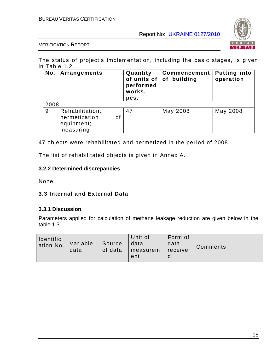

VERIFICATION REPORT

The status of project's implementation, including the basic stages, is given in Table 1.2.

| No.  | Arrangements                                                      | Quantity<br>of units of $ $<br>performed<br>works,<br>pcs. | <b>Commencement</b><br>of building | <b>Putting into</b><br>operation |
|------|-------------------------------------------------------------------|------------------------------------------------------------|------------------------------------|----------------------------------|
| 2008 |                                                                   |                                                            |                                    |                                  |
| 9    | Rehabilitation,<br>hermetization<br>οf<br>equipment;<br>measuring | 47                                                         | May 2008                           | May 2008                         |

47 objects were rehabilitated and hermetized in the period of 2008.

The list of rehabilitated objects is given in Annex A.

#### **3.2.2 Determined discrepancies**

None.

#### **3.3 Internal and External Data**

#### **3.3.1 Discussion**

Parameters applied for calculation of methane leakage reduction are given below in the table 1.3.

| Identific<br>ation No. | Variable<br>data | Source<br>of data | Unit of<br>data<br>measurem<br>ent | Form of<br>data<br>receive | Comments |
|------------------------|------------------|-------------------|------------------------------------|----------------------------|----------|
|------------------------|------------------|-------------------|------------------------------------|----------------------------|----------|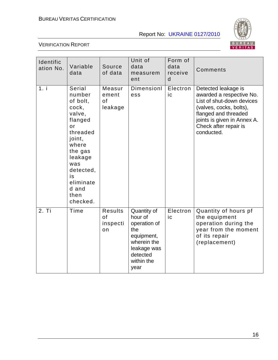

| Identific<br>ation No. | Variable<br>data                                                                                                                                                                          | Source<br>of data                      | Unit of<br>data<br>measurem<br>ent                                                                                          | Form of<br>data<br>receive<br>d | Comments                                                                                                                                                                                              |
|------------------------|-------------------------------------------------------------------------------------------------------------------------------------------------------------------------------------------|----------------------------------------|-----------------------------------------------------------------------------------------------------------------------------|---------------------------------|-------------------------------------------------------------------------------------------------------------------------------------------------------------------------------------------------------|
| 1. i                   | Serial<br>number<br>of bolt,<br>cock,<br>valve,<br>flanged<br>or<br>threaded<br>joint,<br>where<br>the gas<br>leakage<br>was<br>detected,<br>is<br>eliminate<br>d and<br>then<br>checked. | Measur<br>ement<br>of<br>leakage       | Dimensionl<br>ess                                                                                                           | Electron<br>ic                  | Detected leakage is<br>awarded a respective No.<br>List of shut-down devices<br>(valves, cocks, bolts),<br>flanged and threaded<br>joints is given in Annex A.<br>Check after repair is<br>conducted. |
| 2. Ti                  | Time                                                                                                                                                                                      | <b>Results</b><br>of<br>inspecti<br>on | Quantity of<br>hour of<br>operation of<br>the<br>equipment,<br>wherein the<br>leakage was<br>detected<br>within the<br>year | Electron<br>ic                  | Quantity of hours pf<br>the equipment<br>operation during the<br>year from the moment<br>of its repair<br>(replacement)                                                                               |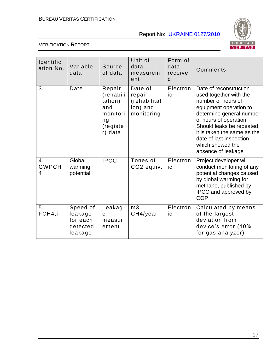

| Identific<br>ation No.  | Variable<br>data                                       | Source<br>of data                                                              | Unit of<br>data<br>measurem<br>ent                          | Form of<br>data<br>receive<br>d | Comments                                                                                                                                                                                                                                                                               |
|-------------------------|--------------------------------------------------------|--------------------------------------------------------------------------------|-------------------------------------------------------------|---------------------------------|----------------------------------------------------------------------------------------------------------------------------------------------------------------------------------------------------------------------------------------------------------------------------------------|
| 3.                      | Date                                                   | Repair<br>(rehabili<br>tation)<br>and<br>monitori<br>ng<br>(registe<br>r) data | Date of<br>repair<br>(rehabilitat<br>ion) and<br>monitoring | Electron<br>ic                  | Date of reconstruction<br>used together with the<br>number of hours of<br>equipment operation to<br>determine general number<br>of hours of operation<br>Should leaks be repeated,<br>it is taken the same as the<br>date of last inspection<br>which showed the<br>absence of leakage |
| 4.<br><b>GWPCH</b><br>4 | Global<br>warming<br>potential                         | <b>IPCC</b>                                                                    | Tones of<br>CO2 equiv.                                      | Electron<br>ic                  | Project developer will<br>conduct monitoring of any<br>potential changes caused<br>by global warming for<br>methane, published by<br>IPCC and approved by<br><b>COP</b>                                                                                                                |
| 5.<br>FCH4,i            | Speed of<br>leakage<br>for each<br>detected<br>leakage | Leakag<br>e<br>measur<br>ement                                                 | m <sub>3</sub><br>CH4/year                                  | Electron<br>ic                  | Calculated by means<br>of the largest<br>deviation from<br>device's error (10%<br>for gas analyzer)                                                                                                                                                                                    |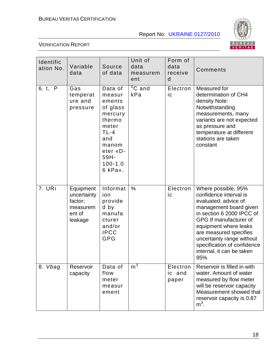

| Identific<br>ation No. | Variable<br>data                                                     | Source<br>of data                                                                                                                             | Unit of<br>data<br>measurem<br>ent | Form of<br>data<br>receive<br>d | Comments                                                                                                                                                                                                                                                                                                  |
|------------------------|----------------------------------------------------------------------|-----------------------------------------------------------------------------------------------------------------------------------------------|------------------------------------|---------------------------------|-----------------------------------------------------------------------------------------------------------------------------------------------------------------------------------------------------------------------------------------------------------------------------------------------------------|
| 6. t, P                | Gas<br>temperat<br>ure and<br>pressure                               | Data of<br>measur<br>ements<br>of glass<br>mercury<br>thermo<br>meter<br>$TL-4$<br>and<br>manom<br>eter «D-<br>59H-<br>$100 - 1.0$<br>6 kPa». | $\overline{{}^0C}$ and<br>kPa      | Electron<br>ic                  | Measured for<br>determination of CH4<br>density Note:<br>Notwithstanding<br>measurements, many<br>variants are not expected<br>as pressure and<br>temperature at different<br>stations are taken<br>constant                                                                                              |
| 7. URi                 | Equipment<br>uncertainty<br>factor;<br>measurem<br>ent of<br>leakage | Informat<br>ion<br>provide<br>d by<br>manufa<br>cturer<br>and/or<br><b>IPCC</b><br>GPG                                                        | $\%$                               | Electron<br>ic                  | Where possible, 95%<br>confidence interval is<br>evaluated; advice of<br>management board given<br>in section 6 2000 IPCC of<br>GPG If manufacturer of<br>equipment where leaks<br>are measured specifies<br>uncertainty range without<br>specification of confidence<br>internal, it can be taken<br>95% |
| 8. Vbag                | Reservoir<br>capacity                                                | Data of<br>flow<br>meter<br>measur<br>ement                                                                                                   | m <sup>3</sup>                     | Electron<br>ic and<br>paper     | Reservoir is filled in with<br>water. Amount of water<br>measured by flow meter<br>will be reservoir capacity<br>Measurement showed that<br>reservoir capacity is 0.87<br>$m3$ .                                                                                                                          |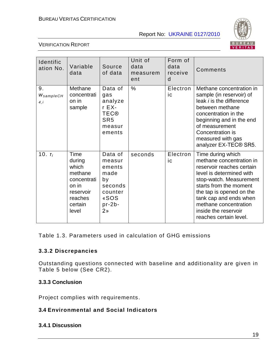

#### VERIFICATION REPORT

| Identific<br>ation No.  | Variable<br>data                                                                                       | Source<br>of data                                                                                     | Unit of<br>data<br>measurem<br>ent | Form of<br>data<br>receive<br>d | Comments                                                                                                                                                                                                                                                                                     |
|-------------------------|--------------------------------------------------------------------------------------------------------|-------------------------------------------------------------------------------------------------------|------------------------------------|---------------------------------|----------------------------------------------------------------------------------------------------------------------------------------------------------------------------------------------------------------------------------------------------------------------------------------------|
| 9.<br>WsampleCH<br>4, i | Methane<br>concentrati<br>on in<br>sample                                                              | Data of<br>gas<br>analyze<br>r EX-<br><b>TEC®</b><br>SR <sub>5</sub><br>measur<br>ements              | $\%$                               | Electron<br>ic                  | Methane concentration in<br>sample (in reservoir) of<br>leak <i>i</i> is the difference<br>between methane<br>concentration in the<br>beginning and in the end<br>of measurement<br>Concentration is<br>measured with gas<br>analyzer EX-TEC® SR5.                                           |
| 10. $T_i$               | Time<br>during<br>which<br>methane<br>concentrati<br>on in<br>reservoir<br>reaches<br>certain<br>level | Data of<br>measur<br>ements<br>made<br>by<br>seconds<br>counter<br>«SOS<br>$pr-2b-$<br>2 <sub>n</sub> | seconds                            | Electron<br>ic                  | Time during which<br>methane concentration in<br>reservoir reaches certain<br>level is determined with<br>stop-watch. Measurement<br>starts from the moment<br>the tap is opened on the<br>tank cap and ends when<br>methane concentration<br>inside the reservoir<br>reaches certain level. |

Table 1.3. Parameters used in calculation of GHG emissions

#### **3.3.2 Discrepancies**

Outstanding questions connected with baseline and additionality are given in Table 5 below (See CR2).

#### **3.3.3 Conclusion**

Project complies with requirements.

# **3.4 Environmental and Social Indicators**

#### **3.4.1 Discussion**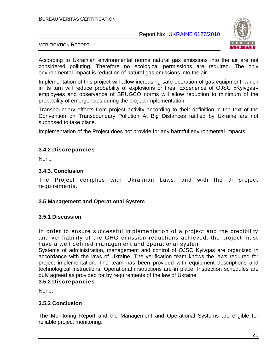

#### VERIFICATION REPORT

According to Ukrainian environmental norms natural gas emissions into the air are not considered polluting. Therefore no ecological permissions are required. The only environmental impact is reduction of natural gas emissions into the air.

Implementation of this project will allow increasing safe operation of gas equipment, which in its turn will reduce probability of explosions or fires. Experience of OJSC «Kyivgas» employees and observance of SRUGCO norms will allow reduction to minimum of the probability of emergencies during the project implementation.

Transboundary effects from project activity according to their definition in the text of the Convention on Transboundary Pollution At Big Distances ratified by Ukraine are not supposed to take place.

Implementation of the Project does not provide for any harmful environmental impacts.

#### **3.4.2 Discrepancies**

**None** 

#### **3.4.3. Conclusion**

The Project complies with Ukrainian Laws, and with the JI project requirements.

#### **3.5 Management and Operational System**

#### **3.5.1 Discussion**

In order to ensure successful implementation of a project and the credibility and verifiability of the GHG emission reductions achieved, the project must have a well defined management and operational system.

Systems of administration, management and control of OJSC Kyivgas are organized in accordance with the laws of Ukraine. The verification team knows the laws required for project implementation. The team has been provided with equipment descriptions and technological instructions. Operational instructions are in place. Inspection schedules are duly agreed as provided for by requirements of the law of Ukraine.

#### **3.5.2 Discrepancies**

None.

#### **3.5.2 Conclusion**

The Monitoring Report and the Management and Operational Systems are eligible for reliable project monitoring.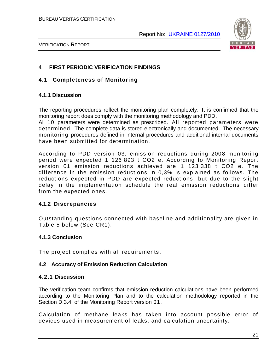

VERIFICATION REPORT

# **4 FIRST PERIODIC VERIFICATION FINDINGS**

#### **4.1 Completeness of Monitoring**

#### **4.1.1 Discussion**

The reporting procedures reflect the monitoring plan completely. It is confirmed that the monitoring report does comply with the monitoring methodology and PDD.

All 10 parameters were determined as prescribed. All reported parameters were determined. The complete data is stored electronically and documented. The necessary monitoring procedures defined in internal procedures and additional internal documents have been submitted for determination.

According to PDD version 03, emission reductions during 2008 monitoring period were expected 1 126 893 t CO2 e. According to Monitoring Report version 01 emission reductions achieved are 1 123 338 t CO2 e. The difference in the emission reductions in 0,3% is explained as follows. The reductions expected in PDD are expected reductions, but due to the slight delay in the implementation schedule the real emission reductions differ from the expected ones.

#### **4.1.2 Discrepancies**

Outstanding questions connected with baseline and additionality are given in Table 5 below (See CR1).

#### **4.1.3 Conclusion**

The project complies with all requirements.

#### **4.2 Accuracy of Emission Reduction Calculation**

#### **4.2.1 Discussion**

The verification team confirms that emission reduction calculations have been performed according to the Monitoring Plan and to the calculation methodology reported in the Section D.3.4. of the Monitoring Report version 01.

Calculation of methane leaks has taken into account possible error of devices used in measurement of leaks, and calculation uncertainty.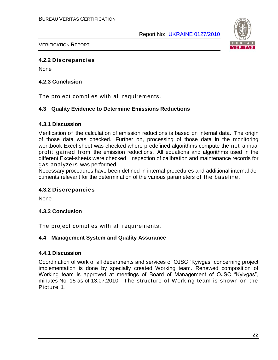

VERIFICATION REPORT

#### **4.2.2 Discrepancies**

None

#### **4.2.3 Conclusion**

The project complies with all requirements.

#### **4.3 Quality Evidence to Determine Emissions Reductions**

#### **4.3.1 Discussion**

Verification of the calculation of emission reductions is based on internal data. The origin of those data was checked. Further on, processing of those data in the monitoring workbook Excel sheet was checked where predefined algorithms compute the net annual profit gained from the emission reductions. All equations and algorithms used in the different Excel-sheets were checked. Inspection of calibration and maintenance records for gas analyzers was performed.

Necessary procedures have been defined in internal procedures and additional internal documents relevant for the determination of the various parameters of the baseline.

#### **4.3.2 Discrepancies**

**None** 

#### **4.3.3 Conclusion**

The project complies with all requirements.

#### **4.4 Management System and Quality Assurance**

#### **4.4.1 Discussion**

Coordination of work of all departments and services of OJSC "Kyivgas" concerning project implementation is done by specially created Working team. Renewed composition of Working team is approved at meetings of Board of Management of OJSC "Kyivgas", minutes No. 15 as of 13.07.2010. The structure of Working team is shown on the Picture 1.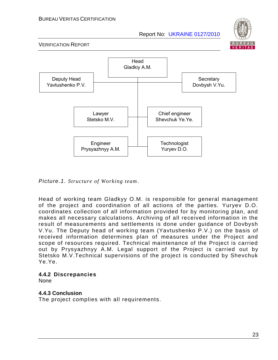



*Picture.1. Structure of Working team*.

Head of working team Gladkyy O.M. is responsible for general management of the project and coordination of all actions of the parties. Yuryev D.O. coordinates collection of all information provided for by monitoring plan, and makes all necessary calculations. Archiving of all received information in the result of measurements and settlements is done under guidance of Dovbysh V.Yu. The Deputy head of working team (Yavtushenko P.V.) on the basis of received information determines plan of measures under the Project and scope of resources required. Technical maintenance of the Project is carried out by Prysyazhnyy A.M. Legal support of the Project is carried out by Stetsko M.V.Technical supervisions of the project is conducted by Shevchuk Ye.Ye.

#### **4.4.2 Discrepancies**

None

# **4.4.3 Conclusion**

The project complies with all requirements.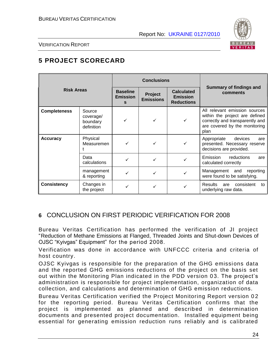

VERIFICATION REPORT

# **5 PROJECT SCORECARD**

|                     |                                               |                                         | <b>Conclusions</b>          |                                                           |                                                                                                                                             |
|---------------------|-----------------------------------------------|-----------------------------------------|-----------------------------|-----------------------------------------------------------|---------------------------------------------------------------------------------------------------------------------------------------------|
| <b>Risk Areas</b>   |                                               | <b>Baseline</b><br><b>Emission</b><br>s | Project<br><b>Emissions</b> | <b>Calculated</b><br><b>Emission</b><br><b>Reductions</b> | Summary of findings and<br>comments                                                                                                         |
| <b>Completeness</b> | Source<br>coverage/<br>boundary<br>definition | ✓                                       |                             |                                                           | All relevant emission sources<br>within the project are defined<br>correctly and transparently and<br>are covered by the monitoring<br>plan |
| <b>Accuracy</b>     | Physical<br>Measuremen                        |                                         |                             |                                                           | Appropriate<br>devices<br>are<br>presented. Necessary reserve<br>decisions are provided.                                                    |
|                     | Data<br>calculations                          |                                         |                             |                                                           | Emission<br>reductions<br>are<br>calculated correctly                                                                                       |
|                     | management<br>& reporting                     |                                         |                             |                                                           | Management and<br>reporting<br>were found to be satisfying.                                                                                 |
| <b>Consistency</b>  | Changes in<br>the project                     |                                         |                             |                                                           | <b>Results</b><br>consistent<br>are<br>to<br>underlying raw data.                                                                           |

# **6** CONCLUSION ON FIRST PERIODIC VERIFICATION FOR 2008

Bureau Veritas Certification has performed the verification of JI project "Reduction of Methane Emissions at Flanged, Threaded Joints and Shut-down Devices of OJSC "Kyivgas" Equipment" for the period 2008.

Verification was done in accordance with UNFCCC criteria and criteria of host country.

OJSC Kyivgas is responsible for the preparation of the GHG emissions data and the reported GHG emissions reductions of the project on the basis set out within the Monitoring Plan indicated in the PDD version 03. The project's administration is responsible for project implementation, organization of data collection, and calculations and determination of GHG emission reductions.

Bureau Veritas Certification verified the Project Monitoring Report version 0 2 for the reporting period. Bureau Veritas Certification confirms that the project is implemented as planned and described in determination documents and presented project documentation. Installed equipment being essential for generating emission reduction runs reliably and is calibrated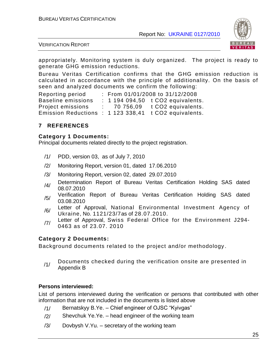

VERIFICATION REPORT

appropriately. Monitoring system is duly organized. The project is ready to generate GHG emission reductions.

Bureau Veritas Certification confirms that the GHG emission reduction is calculated in accordance with the principle of additionality. On the basis of seen and analyzed documents we confirm the following:

Reporting period : From 01/01/2008 to 31/12/2008 Baseline emissions : 1 194 094.50 t CO2 equivalents. Project emissions : 70 756,09 t CO2 equivalents. Emission Reductions : 1 123 338,41 t CO2 equivalents.

### **7 REFERENCES**

#### **Category 1 Documents:**

Principal documents related directly to the project registration.

- /1/ PDD, version 03, as of July 7, 2010
- /2/ Monitoring Report, version 01, dated 17.06.2010
- /3/ Monitoring Report, version 02, dated 29.07.2010
- /4/ Determination Report of Bureau Veritas Certification Holding SAS dated 08.07.2010
- /5/ Verification Report of Bureau Veritas Certification Holding SAS dated 03.08.2010
- /6/ Letter of Approval, National Environmental Investment Agency of Ukraine, No. 1121/23/7as of 28.07.2010.
- /7/ Letter of Approval, Swiss Federal Office for the Environment J294-0463 as of 23.07. 2010

# **Category 2 Documents:**

Background documents related to the project and/or methodology .

 $/1/$  Documents checked during the verification onsite are presented in Appendix B

#### **Persons interviewed:**

List of persons interviewed during the verification or persons that contributed with other information that are not included in the documents is listed above

- /1/ Bernatskyy B.Ye. Chief engineer of OJSC "Kyivgas"
- $/2$  Shevchuk Ye. Ye. head engineer of the working team
- /3/ Dovbysh V.Yu. secretary of the working team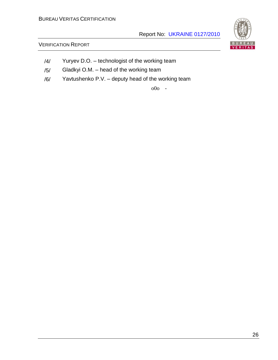# VERIFICATION REPORT

 $\blacksquare$ VERITAS

- /4/ Yuryev D.O. technologist of the working team
- /5/ Gladkyi O.M. head of the working team
- /6/ Yavtushenko P.V. deputy head of the working team

o0o -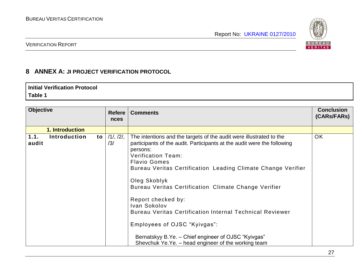

#### VERIFICATION REPORT

# **8 ANNEX A: JI PROJECT VERIFICATION PROTOCOL**

#### **Initial Verification Protocol Table 1**

| <b>Objective</b> |                     |    | <b>Refere</b><br><b>nces</b> | <b>Comments</b>                                                                                                                                                                                                                                                                                                                                                                                                                                                                                                                                                                                               | <b>Conclusion</b><br>(CARs/FARs) |
|------------------|---------------------|----|------------------------------|---------------------------------------------------------------------------------------------------------------------------------------------------------------------------------------------------------------------------------------------------------------------------------------------------------------------------------------------------------------------------------------------------------------------------------------------------------------------------------------------------------------------------------------------------------------------------------------------------------------|----------------------------------|
|                  | 1. Introduction     |    |                              |                                                                                                                                                                                                                                                                                                                                                                                                                                                                                                                                                                                                               |                                  |
| 1.1.<br>audit    | <b>Introduction</b> | to | 11, 121,<br>/3/              | The intentions and the targets of the audit were illustrated to the<br>participants of the audit. Participants at the audit were the following<br>persons:<br><b>Verification Team:</b><br><b>Flavio Gomes</b><br>Bureau Veritas Certification Leading Climate Change Verifier<br>Oleg Skoblyk<br>Bureau Veritas Certification Climate Change Verifier<br>Report checked by:<br>Ivan Sokolov<br><b>Bureau Veritas Certification Internal Technical Reviewer</b><br>Employees of OJSC "Kyivgas":<br>Bernatskyy B.Ye. - Chief engineer of OJSC "Kyivgas"<br>Shevchuk Ye.Ye. – head engineer of the working team | <b>OK</b>                        |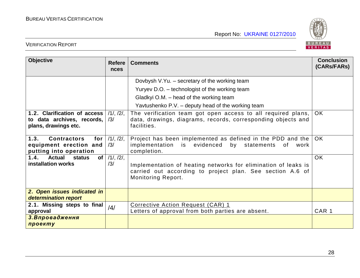

| <b>Objective</b>                                                                      | <b>Refere</b><br>nces       | <b>Comments</b>                                                                                                                                   | <b>Conclusion</b><br>(CARs/FARs) |
|---------------------------------------------------------------------------------------|-----------------------------|---------------------------------------------------------------------------------------------------------------------------------------------------|----------------------------------|
|                                                                                       |                             | Dovbysh V.Yu. - secretary of the working team                                                                                                     |                                  |
|                                                                                       |                             | Yuryev D.O. - technologist of the working team                                                                                                    |                                  |
|                                                                                       |                             | Gladkyi O.M. – head of the working team                                                                                                           |                                  |
|                                                                                       |                             | Yavtushenko P.V. – deputy head of the working team                                                                                                |                                  |
| 1.2. Clarification of access<br>to data archives, records,<br>plans, drawings etc.    | 11, 121,<br>/3/             | The verification team got open access to all required plans,<br>data, drawings, diagrams, records, corresponding objects and<br>facilities.       | <b>OK</b>                        |
| 1.3.<br><b>Contractors</b><br>for<br>equipment erection and<br>putting into operation | 11, 121,<br>/3/             | Project has been implemented as defined in the PDD and the<br>implementation is evidenced<br>by statements<br>0f<br>work<br>completion.           | OK.                              |
| 1.4.<br><b>Actual</b><br>of <sub>l</sub><br><b>status</b><br>installation works       | $11, 12\overline{1}$<br>/3/ | Implementation of heating networks for elimination of leaks is<br>carried out according to project plan. See section A.6 of<br>Monitoring Report. | <b>OK</b>                        |
| 2. Open issues indicated in<br>determination report                                   |                             |                                                                                                                                                   |                                  |
| 2.1. Missing steps to final<br>approval                                               | /4/                         | Corrective Action Request (CAR) 1<br>Letters of approval from both parties are absent.                                                            | CAR <sub>1</sub>                 |
| 3. Впровадження<br>проекту                                                            |                             |                                                                                                                                                   |                                  |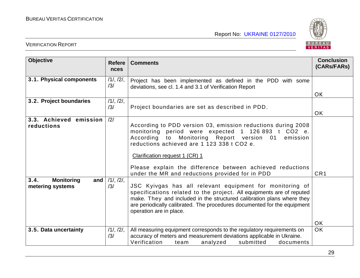

| <b>Objective</b>                                     | <b>Refere</b><br>nces | <b>Comments</b>                                                                                                                                                                                                                                                                                                                                                                   | <b>Conclusion</b><br>(CARs/FARs) |
|------------------------------------------------------|-----------------------|-----------------------------------------------------------------------------------------------------------------------------------------------------------------------------------------------------------------------------------------------------------------------------------------------------------------------------------------------------------------------------------|----------------------------------|
| 3.1. Physical components                             | 11, 121,<br>/3/       | Project has been implemented as defined in the PDD with some<br>deviations, see cl. 1.4 and 3.1 of Verification Report                                                                                                                                                                                                                                                            | <b>OK</b>                        |
| 3.2. Project boundaries                              | 11, 121,<br>/3/       | Project boundaries are set as described in PDD.                                                                                                                                                                                                                                                                                                                                   | <b>OK</b>                        |
| 3.3. Achieved emission<br>reductions                 | /2/                   | According to PDD version 03, emission reductions during 2008<br>monitoring period were expected 1 126 893 t CO2 e.<br>Monitoring Report version 01<br>According<br>to<br>emission<br>reductions achieved are 1 123 338 t CO2 e.<br>Clarification request 1 (CR) 1<br>Please explain the difference between achieved reductions<br>under the MR and reductions provided for in PDD | CR <sub>1</sub>                  |
| 3.4.<br><b>Monitoring</b><br>and<br>metering systems | 11, 121,<br>/3/       | JSC Kyivgas has all relevant equipment for monitoring of<br>specifications related to the project. All equipments are of reputed<br>make. They and included in the structured calibration plans where they<br>are periodically calibrated. The procedures documented for the equipment<br>operation are in place.                                                                 | <b>OK</b>                        |
| 3.5. Data uncertainty                                | 11, 121,<br>/3/       | All measuring equipment corresponds to the regulatory requirements on<br>accuracy of meters and measurement deviations applicable in Ukraine.<br>Verification<br>submitted<br>analyzed<br>team<br>documents                                                                                                                                                                       | <b>OK</b>                        |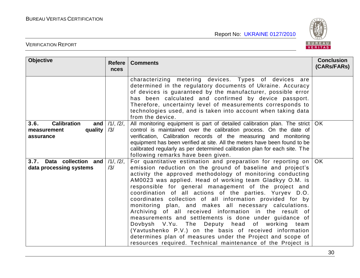

| <b>Objective</b>                                                         | <b>Refere</b><br><b>nces</b> | <b>Comments</b>                                                                                                                                                                                                                                                                                                                                                                                                                                                                                                                                                                                                                                                                                                                                                                                                                                              | <b>Conclusion</b><br>(CARs/FARs) |
|--------------------------------------------------------------------------|------------------------------|--------------------------------------------------------------------------------------------------------------------------------------------------------------------------------------------------------------------------------------------------------------------------------------------------------------------------------------------------------------------------------------------------------------------------------------------------------------------------------------------------------------------------------------------------------------------------------------------------------------------------------------------------------------------------------------------------------------------------------------------------------------------------------------------------------------------------------------------------------------|----------------------------------|
|                                                                          |                              | characterizing metering devices. Types of devices are<br>determined in the regulatory documents of Ukraine. Accuracy<br>of devices is guaranteed by the manufacturer, possible error<br>has been calculated and confirmed by device passport.<br>Therefore, uncertainty level of measurements corresponds to<br>technologies used, and is taken into account when taking data<br>from the device.                                                                                                                                                                                                                                                                                                                                                                                                                                                            |                                  |
| <b>Calibration</b><br>3.6.<br>and<br>quality<br>measurement<br>assurance | 11, 121,<br>/3/              | All monitoring equipment is part of detailed calibration plan. The strict   OK<br>control is maintained over the calibration process. On the date of<br>verification, Calibration records of the measuring and monitoring<br>equipment has been verified at site. All the meters have been found to be<br>calibrated regularly as per determined calibration plan for each site. The<br>following remarks have been given.                                                                                                                                                                                                                                                                                                                                                                                                                                   |                                  |
| 3.7. Data collection and<br>data processing systems                      | 11, 121,<br>/3/              | For quantitative estimation and preparation for reporting on<br>emission reduction on the ground of baseline and project's<br>activity the approved methodology of monitoring conducting<br>AM0023 was applied. Head of working team Gladkyy O.M. is<br>responsible for general management of the project and<br>coordination of all actions of the parties. Yuryev D.O.<br>coordinates collection of all information provided for by<br>monitoring plan, and makes all necessary calculations.<br>Archiving of all received information in the result of<br>measurements and settlements is done under guidance of<br>Dovbysh V.Yu. The Deputy head of working team<br>(Yavtushenko P.V.) on the basis of received information<br>determines plan of measures under the Project and scope of<br>resources required. Technical maintenance of the Project is | OK.                              |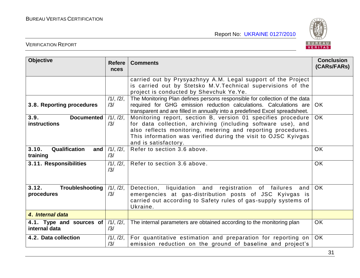

| <b>Objective</b>                                 | <b>Refere</b><br>nces | <b>Comments</b>                                                                                                                                                                                                                                                                        | <b>Conclusion</b><br>(CARs/FARs) |
|--------------------------------------------------|-----------------------|----------------------------------------------------------------------------------------------------------------------------------------------------------------------------------------------------------------------------------------------------------------------------------------|----------------------------------|
|                                                  |                       | carried out by Prysyazhnyy A.M. Legal support of the Project<br>is carried out by Stetsko M.V. Technical supervisions of the<br>project is conducted by Shevchuk Ye.Ye.                                                                                                                |                                  |
| 3.8. Reporting procedures                        | 11, 121,<br>/3/       | The Monitoring Plan defines persons responsible for collection of the data<br>required for GHG emission reduction calculations. Calculations are<br>transparent and are filled in annually into a predefined Excel spreadsheet.                                                        | OK.                              |
| 3.9.<br><b>Documented</b><br><b>instructions</b> | 11, 121,<br>/3/       | Monitoring report, section B, version 01 specifies procedure<br>for data collection, archiving (including software use), and<br>also reflects monitoring, metering and reporting procedures.<br>This information was verified during the visit to OJSC Kyivgas<br>and is satisfactory. | OK.                              |
| 3.10.<br>Qualification<br>and<br>training        | 11, 121,<br>/3/       | Refer to section 3.6 above.                                                                                                                                                                                                                                                            | <b>OK</b>                        |
| 3.11. Responsibilities                           | 11, 121,<br>/3/       | Refer to section 3.6 above.                                                                                                                                                                                                                                                            | <b>OK</b>                        |
| 3.12.<br>Troubleshooting<br>procedures           | 11, 121,<br>/3/       | Detection, liquidation and registration of failures<br>and<br>emergencies at gas-distribution posts of JSC Kyivgas is<br>carried out according to Safety rules of gas-supply systems of<br>Ukraine.                                                                                    | OK                               |
| 4. Internal data                                 |                       |                                                                                                                                                                                                                                                                                        |                                  |
| 4.1. Type and sources of<br>internal data        | 11, 121,<br>/3/       | The internal parameters are obtained according to the monitoring plan                                                                                                                                                                                                                  | <b>OK</b>                        |
| 4.2. Data collection                             | 11, 121,<br>/3/       | For quantitative estimation and preparation for reporting on<br>emission reduction on the ground of baseline and project's                                                                                                                                                             | OK                               |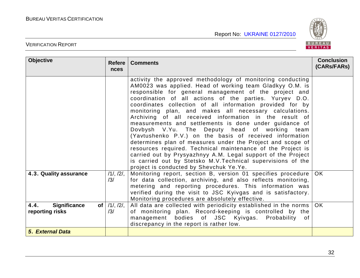

| <b>Objective</b>                                                  | <b>Refere</b><br><b>nces</b> | <b>Comments</b>                                                                                                                                                                                                                                                                                                                                                                                                                                                                                                                                                                                                                                                                                                                                                                                                                                                                                           | <b>Conclusion</b><br>(CARs/FARs) |
|-------------------------------------------------------------------|------------------------------|-----------------------------------------------------------------------------------------------------------------------------------------------------------------------------------------------------------------------------------------------------------------------------------------------------------------------------------------------------------------------------------------------------------------------------------------------------------------------------------------------------------------------------------------------------------------------------------------------------------------------------------------------------------------------------------------------------------------------------------------------------------------------------------------------------------------------------------------------------------------------------------------------------------|----------------------------------|
|                                                                   |                              | activity the approved methodology of monitoring conducting<br>AM0023 was applied. Head of working team Gladkyy O.M. is<br>responsible for general management of the project and<br>coordination of all actions of the parties. Yuryev D.O.<br>coordinates collection of all information provided for by<br>monitoring plan, and makes all necessary calculations.<br>Archiving of all received information in the result of<br>measurements and settlements is done under guidance of<br>Dovbysh V.Yu. The Deputy head of working team<br>(Yavtushenko P.V.) on the basis of received information<br>determines plan of measures under the Project and scope of<br>resources required. Technical maintenance of the Project is<br>carried out by Prysyazhnyy A.M. Legal support of the Project<br>is carried out by Stetsko M.V. Technical supervisions of the<br>project is conducted by Shevchuk Ye.Ye. |                                  |
| 4.3. Quality assurance                                            | 11, 121,<br>/3/              | Monitoring report, section B, version 01 specifies procedure<br>for data collection, archiving, and also reflects monitoring,<br>metering and reporting procedures. This information was<br>verified during the visit to JSC Kyivgas and is satisfactory.<br>Monitoring procedures are absolutely effective.                                                                                                                                                                                                                                                                                                                                                                                                                                                                                                                                                                                              | OK.                              |
| 4.4.<br><b>Significance</b><br>of <sub>l</sub><br>reporting risks | $/1/$ , $/2/$ ,<br>/3/       | All data are collected with periodicity established in the norms<br>of monitoring plan. Record-keeping is controlled by the<br>management bodies of JSC Kyivgas. Probability of<br>discrepancy in the report is rather low.                                                                                                                                                                                                                                                                                                                                                                                                                                                                                                                                                                                                                                                                               | OK.                              |
| 5. External Data                                                  |                              |                                                                                                                                                                                                                                                                                                                                                                                                                                                                                                                                                                                                                                                                                                                                                                                                                                                                                                           |                                  |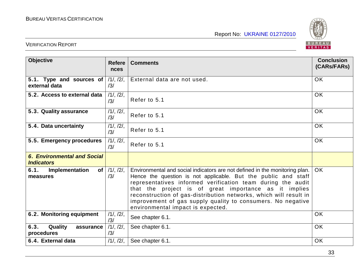

| <b>Objective</b>                                        | <b>Refere</b><br><b>nces</b> | <b>Comments</b>                                                                                                                                                                                                                                                                                                                                                                                                                                | <b>Conclusion</b><br>(CARs/FARs) |
|---------------------------------------------------------|------------------------------|------------------------------------------------------------------------------------------------------------------------------------------------------------------------------------------------------------------------------------------------------------------------------------------------------------------------------------------------------------------------------------------------------------------------------------------------|----------------------------------|
| 5.1. Type and sources of<br>external data               | 11, 121,<br>/3/              | External data are not used.                                                                                                                                                                                                                                                                                                                                                                                                                    | <b>OK</b>                        |
| 5.2. Access to external data                            | 11, 121,<br>/3/              | Refer to 5.1                                                                                                                                                                                                                                                                                                                                                                                                                                   | <b>OK</b>                        |
| 5.3. Quality assurance                                  | 11, 121,<br>/3/              | Refer to 5.1                                                                                                                                                                                                                                                                                                                                                                                                                                   | <b>OK</b>                        |
| 5.4. Data uncertainty                                   | 11, 121,<br>/3/              | Refer to 5.1                                                                                                                                                                                                                                                                                                                                                                                                                                   | <b>OK</b>                        |
| 5.5. Emergency procedures                               | 11, 121,<br>/3/              | Refer to 5.1                                                                                                                                                                                                                                                                                                                                                                                                                                   | <b>OK</b>                        |
| <b>6. Environmental and Social</b><br><b>Indicators</b> |                              |                                                                                                                                                                                                                                                                                                                                                                                                                                                |                                  |
| of <sub>l</sub><br>6.1.<br>Implementation<br>measures   | 11, 121,<br>/3/              | Environmental and social indicators are not defined in the monitoring plan.<br>Hence the question is not applicable. But the public and staff<br>representatives informed verification team during the audit<br>that the project is of great importance as it implies<br>reconstruction of gas-distribution networks, which will result in<br>improvement of gas supply quality to consumers. No negative<br>environmental impact is expected. | OK.                              |
| 6.2. Monitoring equipment                               | 11, 121,<br>/3/              | See chapter 6.1.                                                                                                                                                                                                                                                                                                                                                                                                                               | <b>OK</b>                        |
| 6.3.<br>Quality<br>assurance<br>procedures              | 11, 121,<br>/3/              | See chapter 6.1.                                                                                                                                                                                                                                                                                                                                                                                                                               | <b>OK</b>                        |
| 6.4. External data                                      | 11, 121,                     | See chapter 6.1.                                                                                                                                                                                                                                                                                                                                                                                                                               | <b>OK</b>                        |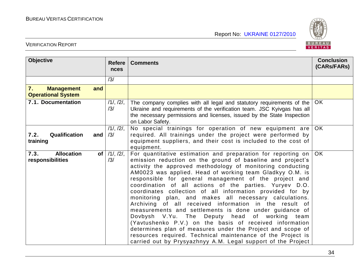

| <b>Objective</b>                                            | <b>Refere</b><br>nces     | <b>Comments</b>                                                                                                                                                                                                                                                                                                                                                                                                                                                                                                                                                                                                                                                                                                                                                                                                                                                                                                              | <b>Conclusion</b><br>(CARs/FARs) |
|-------------------------------------------------------------|---------------------------|------------------------------------------------------------------------------------------------------------------------------------------------------------------------------------------------------------------------------------------------------------------------------------------------------------------------------------------------------------------------------------------------------------------------------------------------------------------------------------------------------------------------------------------------------------------------------------------------------------------------------------------------------------------------------------------------------------------------------------------------------------------------------------------------------------------------------------------------------------------------------------------------------------------------------|----------------------------------|
|                                                             | /3/                       |                                                                                                                                                                                                                                                                                                                                                                                                                                                                                                                                                                                                                                                                                                                                                                                                                                                                                                                              |                                  |
| 7.<br>and<br><b>Management</b><br><b>Operational System</b> |                           |                                                                                                                                                                                                                                                                                                                                                                                                                                                                                                                                                                                                                                                                                                                                                                                                                                                                                                                              |                                  |
| 7.1. Documentation                                          | 11, 121,<br>/3/           | The company complies with all legal and statutory requirements of the<br>Ukraine and requirements of the verification team. JSC Kyivgas has all<br>the necessary permissions and licenses, issued by the State Inspection<br>on Labor Safety.                                                                                                                                                                                                                                                                                                                                                                                                                                                                                                                                                                                                                                                                                | OK                               |
| Qualification<br>7.2.<br>and<br>training                    | 11, 121,<br>/3/           | No special trainings for operation of new equipment are<br>required. All trainings under the project were performed by<br>equipment suppliers, and their cost is included to the cost of<br>equipment.                                                                                                                                                                                                                                                                                                                                                                                                                                                                                                                                                                                                                                                                                                                       | <b>OK</b>                        |
| <b>Allocation</b><br>7.3.<br>responsibilities               | of $/1/$ , $/2/$ ,<br>/3/ | For quantitative estimation and preparation for reporting on<br>emission reduction on the ground of baseline and project's<br>activity the approved methodology of monitoring conducting<br>AM0023 was applied. Head of working team Gladkyy O.M. is<br>responsible for general management of the project and<br>coordination of all actions of the parties. Yuryev D.O.<br>coordinates collection of all information provided for by<br>monitoring plan, and makes all necessary calculations.<br>Archiving of all received information in the result of<br>measurements and settlements is done under guidance of<br>Dovbysh V.Yu. The Deputy head of working team<br>(Yavtushenko P.V.) on the basis of received information<br>determines plan of measures under the Project and scope of<br>resources required. Technical maintenance of the Project is<br>carried out by Prysyazhnyy A.M. Legal support of the Project | OK.                              |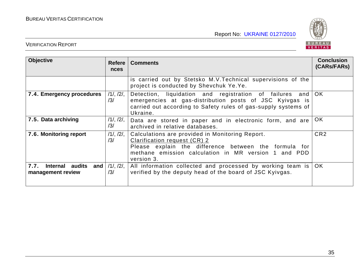

| <b>Objective</b>                                    | Refere<br><b>nces</b>  | <b>Comments</b>                                                                                                                                                                                                | <b>Conclusion</b><br>(CARs/FARs) |
|-----------------------------------------------------|------------------------|----------------------------------------------------------------------------------------------------------------------------------------------------------------------------------------------------------------|----------------------------------|
|                                                     |                        | is carried out by Stetsko M.V. Technical supervisions of the<br>project is conducted by Shevchuk Ye.Ye.                                                                                                        |                                  |
| 7.4. Emergency procedures                           | $/1/$ , $/2/$ ,<br>/3/ | Detection, liquidation and registration of failures and<br>emergencies at gas-distribution posts of JSC Kyivgas is<br>carried out according to Safety rules of gas-supply systems of<br>Ukraine.               | OK.                              |
| 7.5. Data archiving                                 | 11, 121,<br>/3/        | Data are stored in paper and in electronic form, and are<br>archived in relative databases.                                                                                                                    | OK.                              |
| 7.6. Monitoring report                              | $/1/$ , $/2/$ ,<br>/3/ | Calculations are provided in Monitoring Report.<br>Clarification request (CR) 2<br>Please explain the difference between the formula for<br>methane emission calculation in MR version 1 and PDD<br>version 3. | CR <sub>2</sub>                  |
| 7.7.<br>Internal audits<br>and<br>management review | $/1/$ , $/2/$ ,<br>/3/ | All information collected and processed by working team is<br>verified by the deputy head of the board of JSC Kyivgas.                                                                                         | OK.                              |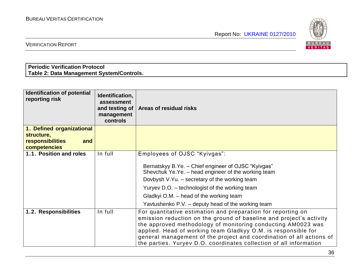

VERIFICATION REPORT

# **Periodic Verification Protocol Table 2: Data Management System/Controls.**

| <b>Identification of potential</b><br>reporting risk | Identification,<br>assessment<br>and testing of<br>management<br>controls | Areas of residual risks                                                                                                                                                                                                                                                                                                                                                                                            |
|------------------------------------------------------|---------------------------------------------------------------------------|--------------------------------------------------------------------------------------------------------------------------------------------------------------------------------------------------------------------------------------------------------------------------------------------------------------------------------------------------------------------------------------------------------------------|
| 1. Defined organizational                            |                                                                           |                                                                                                                                                                                                                                                                                                                                                                                                                    |
| structure,<br>responsibilities<br>and                |                                                                           |                                                                                                                                                                                                                                                                                                                                                                                                                    |
| competencies                                         |                                                                           |                                                                                                                                                                                                                                                                                                                                                                                                                    |
| 1.1. Position and roles                              | In full                                                                   | Employees of OJSC "Kyivgas":                                                                                                                                                                                                                                                                                                                                                                                       |
|                                                      |                                                                           | Bernatskyy B.Ye. - Chief engineer of OJSC "Kyivgas"<br>Shevchuk Ye.Ye. - head engineer of the working team<br>Dovbysh V.Yu. - secretary of the working team<br>Yuryev D.O. - technologist of the working team<br>Gladkyi O.M. – head of the working team<br>Yavtushenko P.V. - deputy head of the working team                                                                                                     |
| 1.2. Responsibilities                                | In full                                                                   | For quantitative estimation and preparation for reporting on<br>emission reduction on the ground of baseline and project's activity<br>the approved methodology of monitoring conducting AM0023 was<br>applied. Head of working team Gladkyy O.M. is responsible for<br>general management of the project and coordination of all actions of<br>the parties. Yuryev D.O. coordinates collection of all information |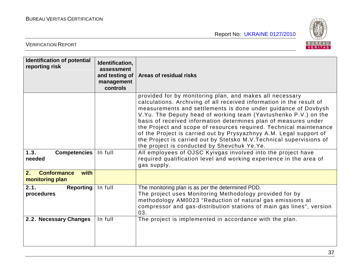

| <b>Identification of potential</b><br>reporting risk | Identification,<br>assessment<br>and testing of<br>management<br>controls | Areas of residual risks                                                                                                                                                                                                                                                                                                                                                                                                                                                                                                                                                                                      |
|------------------------------------------------------|---------------------------------------------------------------------------|--------------------------------------------------------------------------------------------------------------------------------------------------------------------------------------------------------------------------------------------------------------------------------------------------------------------------------------------------------------------------------------------------------------------------------------------------------------------------------------------------------------------------------------------------------------------------------------------------------------|
|                                                      |                                                                           | provided for by monitoring plan, and makes all necessary<br>calculations. Archiving of all received information in the result of<br>measurements and settlements is done under guidance of Dovbysh<br>V. Yu. The Deputy head of working team (Yavtushenko P.V.) on the<br>basis of received information determines plan of measures under<br>the Project and scope of resources required. Technical maintenance<br>of the Project is carried out by Prysyazhnyy A.M. Legal support of<br>the Project is carried out by Stetsko M.V. Technical supervisions of<br>the project is conducted by Shevchuk Ye.Ye. |
| 1.3.<br><b>Competencies</b><br>needed                | In full                                                                   | All employees of OJSC Kyivgas involved into the project have<br>required qualification level and working experience in the area of<br>gas supply.                                                                                                                                                                                                                                                                                                                                                                                                                                                            |
| <b>Conformance</b><br>2.<br>with<br>monitoring plan  |                                                                           |                                                                                                                                                                                                                                                                                                                                                                                                                                                                                                                                                                                                              |
| 2.1.<br>Reporting<br>procedures                      | In full                                                                   | The monitoring plan is as per the determined PDD.<br>The project uses Monitoring Methodology provided for by<br>methodology AM0023 "Reduction of natural gas emissions at<br>compressor and gas-distribution stations of main gas lines", version<br>03.                                                                                                                                                                                                                                                                                                                                                     |
| 2.2. Necessary Changes                               | In full                                                                   | The project is implemented in accordance with the plan.                                                                                                                                                                                                                                                                                                                                                                                                                                                                                                                                                      |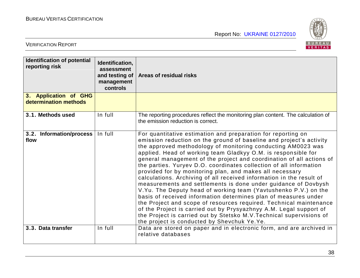

| <b>Identification of potential</b><br>reporting risk | Identification,<br>assessment<br>and testing of<br>management<br>controls | Areas of residual risks                                                                                                                                                                                                                                                                                                                                                                                                                                                                                                                                                                                                                                                                                                                                                                                                                                                                                                                                                                                                            |
|------------------------------------------------------|---------------------------------------------------------------------------|------------------------------------------------------------------------------------------------------------------------------------------------------------------------------------------------------------------------------------------------------------------------------------------------------------------------------------------------------------------------------------------------------------------------------------------------------------------------------------------------------------------------------------------------------------------------------------------------------------------------------------------------------------------------------------------------------------------------------------------------------------------------------------------------------------------------------------------------------------------------------------------------------------------------------------------------------------------------------------------------------------------------------------|
| 3. Application of GHG<br>determination methods       |                                                                           |                                                                                                                                                                                                                                                                                                                                                                                                                                                                                                                                                                                                                                                                                                                                                                                                                                                                                                                                                                                                                                    |
| 3.1. Methods used                                    | In full                                                                   | The reporting procedures reflect the monitoring plan content. The calculation of<br>the emission reduction is correct.                                                                                                                                                                                                                                                                                                                                                                                                                                                                                                                                                                                                                                                                                                                                                                                                                                                                                                             |
| 3.2. Information/process<br>flow                     | In full                                                                   | For quantitative estimation and preparation for reporting on<br>emission reduction on the ground of baseline and project's activity<br>the approved methodology of monitoring conducting AM0023 was<br>applied. Head of working team Gladkyy O.M. is responsible for<br>general management of the project and coordination of all actions of<br>the parties. Yuryev D.O. coordinates collection of all information<br>provided for by monitoring plan, and makes all necessary<br>calculations. Archiving of all received information in the result of<br>measurements and settlements is done under guidance of Dovbysh<br>V. Yu. The Deputy head of working team (Yavtushenko P.V.) on the<br>basis of received information determines plan of measures under<br>the Project and scope of resources required. Technical maintenance<br>of the Project is carried out by Prysyazhnyy A.M. Legal support of<br>the Project is carried out by Stetsko M.V. Technical supervisions of<br>the project is conducted by Shevchuk Ye.Ye. |
| 3.3. Data transfer                                   | In full                                                                   | Data are stored on paper and in electronic form, and are archived in<br>relative databases                                                                                                                                                                                                                                                                                                                                                                                                                                                                                                                                                                                                                                                                                                                                                                                                                                                                                                                                         |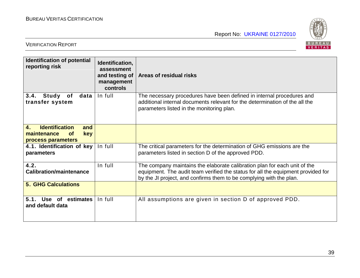

| <b>Identification of potential</b><br>reporting risk                                                             | Identification,<br>assessment<br>and testing of<br>management<br>controls | Areas of residual risks                                                                                                                                                                                                              |
|------------------------------------------------------------------------------------------------------------------|---------------------------------------------------------------------------|--------------------------------------------------------------------------------------------------------------------------------------------------------------------------------------------------------------------------------------|
| 3.4.<br>Study<br>data<br>of<br>transfer system                                                                   | In full                                                                   | The necessary procedures have been defined in internal procedures and<br>additional internal documents relevant for the determination of the all the<br>parameters listed in the monitoring plan.                                    |
| <b>Identification</b><br>$\overline{4}$ .<br>and<br>maintenance<br><b>key</b><br><b>of</b><br>process parameters |                                                                           |                                                                                                                                                                                                                                      |
| 4.1. Identification of key<br>parameters                                                                         | In full                                                                   | The critical parameters for the determination of GHG emissions are the<br>parameters listed in section D of the approved PDD.                                                                                                        |
| 4.2.<br><b>Calibration/maintenance</b>                                                                           | In full                                                                   | The company maintains the elaborate calibration plan for each unit of the<br>equipment. The audit team verified the status for all the equipment provided for<br>by the JI project, and confirms them to be complying with the plan. |
| <b>5. GHG Calculations</b>                                                                                       |                                                                           |                                                                                                                                                                                                                                      |
| 5.1.<br>Use of estimates<br>and default data                                                                     | In full                                                                   | All assumptions are given in section D of approved PDD.                                                                                                                                                                              |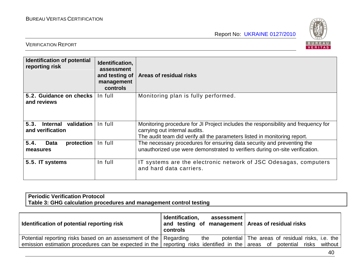

#### VERIFICATION REPORT

| <b>Identification of potential</b><br>reporting risk      | Identification,<br>assessment<br>and testing of<br>management<br><b>controls</b> | Areas of residual risks                                                                                                                                                                         |
|-----------------------------------------------------------|----------------------------------------------------------------------------------|-------------------------------------------------------------------------------------------------------------------------------------------------------------------------------------------------|
| 5.2. Guidance on checks<br>and reviews                    | In full                                                                          | Monitoring plan is fully performed.                                                                                                                                                             |
| 5.3.<br>validation<br><b>Internal</b><br>and verification | In full                                                                          | Monitoring procedure for JI Project includes the responsibility and frequency for<br>carrying out internal audits.<br>The audit team did verify all the parameters listed in monitoring report. |
| 5.4.<br><b>Data</b><br>protection<br>measures             | In full                                                                          | The necessary procedures for ensuring data security and preventing the<br>unauthorized use were demonstrated to verifiers during on-site verification.                                          |
| 5.5. IT systems                                           | In full                                                                          | IT systems are the electronic network of JSC Odesagas, computers<br>and hard data carriers.                                                                                                     |

# **Periodic Verification Protocol Table 3: GHG calculation procedures and management control testing**

| Identification of potential reporting risk                                                                       | Identification,<br>assessment<br>and testing of management   Areas of residual risks<br>controls |                                                 |
|------------------------------------------------------------------------------------------------------------------|--------------------------------------------------------------------------------------------------|-------------------------------------------------|
| Potential reporting risks based on an assessment of the   Regarding                                              | the                                                                                              | potential The areas of residual risks, i.e. the |
| emission estimation procedures can be expected in the reporting risks identified in the areas of potential risks |                                                                                                  | without                                         |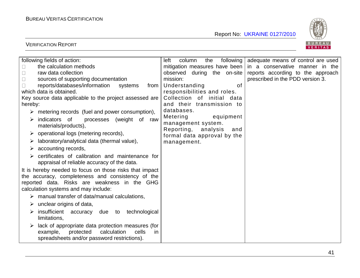

| following fields of action:                                     | following  <br>column<br>the<br>left | adequate means of control are used |
|-----------------------------------------------------------------|--------------------------------------|------------------------------------|
| the calculation methods                                         | mitigation measures have been        | in a conservative manner in the    |
| raw data collection                                             | observed during the on-site          | reports according to the approach  |
| sources of supporting documentation                             | mission:                             | prescribed in the PDD version 3.   |
| reports/databases/information<br>systems<br>from                | Understanding<br>of                  |                                    |
| which data is obtained.                                         | responsibilities and roles.          |                                    |
| Key source data applicable to the project assessed are          | Collection of initial data           |                                    |
| hereby:                                                         | and their transmission to            |                                    |
| $\triangleright$ metering records (fuel and power consumption), | databases.                           |                                    |
| processes (weight of<br>indicators of<br>raw<br>➤               | Metering<br>equipment                |                                    |
| materials/products),                                            | management system.                   |                                    |
| operational logs (metering records),                            | Reporting, analysis<br>and           |                                    |
| laboratory/analytical data (thermal value),                     | formal data approval by the          |                                    |
|                                                                 | management.                          |                                    |
| accounting records,<br>➤                                        |                                      |                                    |
| certificates of calibration and maintenance for                 |                                      |                                    |
| appraisal of reliable accuracy of the data.                     |                                      |                                    |
| It is hereby needed to focus on those risks that impact         |                                      |                                    |
| the accuracy, completeness and consistency of the               |                                      |                                    |
| reported data. Risks are weakness in the GHG                    |                                      |                                    |
| calculation systems and may include:                            |                                      |                                    |
| manual transfer of data/manual calculations,                    |                                      |                                    |
| unclear origins of data,                                        |                                      |                                    |
| insufficient<br>technological<br>accuracy<br>due to             |                                      |                                    |
| limitations,                                                    |                                      |                                    |
| lack of appropriate data protection measures (for               |                                      |                                    |
| example,<br>protected<br>calculation<br>cells<br>in.            |                                      |                                    |
| spreadsheets and/or password restrictions).                     |                                      |                                    |
|                                                                 |                                      |                                    |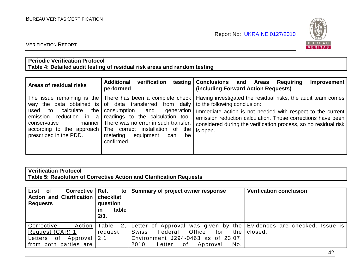

#### VERIFICATION REPORT

#### **Periodic Verification Protocol Table 4: Detailed audit testing of residual risk areas and random testing**

| Areas of residual risks                                                                                       | <b>Additional</b><br>verification<br>performed                                                                                                                                                                                                                                      | testing Conclusions and Areas<br>Requiring<br>Improvement<br>(including Forward Action Requests)                                                                                                                                                                                                                                                                      |
|---------------------------------------------------------------------------------------------------------------|-------------------------------------------------------------------------------------------------------------------------------------------------------------------------------------------------------------------------------------------------------------------------------------|-----------------------------------------------------------------------------------------------------------------------------------------------------------------------------------------------------------------------------------------------------------------------------------------------------------------------------------------------------------------------|
| calculate<br>the<br>used to<br>emission reduction in<br>a<br>conservative<br>manner<br>prescribed in the PDD. | way the data obtained is of data transferred from daily<br>consumption and<br>generation<br>readings to the calculation tool.<br>There was no error in such transfer.<br>according to the approach The correct installation of the<br>metering equipment<br>be<br>can<br>confirmed. | The issue remaining is the There has been a complete check   Having investigated the residual risks, the audit team comes<br>to the following conclusion:<br>Immediate action is not needed with respect to the current<br>emission reduction calculation. Those corrections have been<br>considered during the verification process, so no residual risk<br>is open. |

# **Verification Protocol Table 5: Resolution of Corrective Action and Clarification Requests**

| List of<br><b>Corrective</b><br>Action and Clarification<br><b>Requests</b>             | Ref.<br>to<br>checklist<br>question<br>table<br>ın<br>2/3. | Summary of project owner response                                                                                                                                                          | <b>Verification conclusion</b> |
|-----------------------------------------------------------------------------------------|------------------------------------------------------------|--------------------------------------------------------------------------------------------------------------------------------------------------------------------------------------------|--------------------------------|
| Corrective<br>Action<br>Request (CAR) 1<br>Letters of Approval<br>from both parties are | Table<br>2,1<br>request<br>2.1                             | Letter of Approval was given by the Evidences are checked. Issue is<br>Federal<br>Office<br>for<br>Swiss<br>Environment J294-0463 as of 23.07.<br>No.<br>2010.<br>Letter<br>0f<br>Approval | the I closed.                  |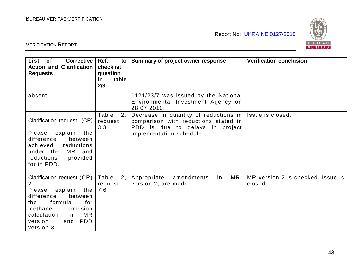

| List of<br><b>Corrective</b><br><b>Action and Clarification</b><br><b>Requests</b>                                                                                                                                                  | Ref.<br>$\mathsf{to}$<br>checklist<br>question<br>table<br>in<br>2/3. | Summary of project owner response                                                                                                                | <b>Verification conclusion</b>               |
|-------------------------------------------------------------------------------------------------------------------------------------------------------------------------------------------------------------------------------------|-----------------------------------------------------------------------|--------------------------------------------------------------------------------------------------------------------------------------------------|----------------------------------------------|
| absent.                                                                                                                                                                                                                             |                                                                       | 1121/23/7 was issued by the National<br>Environmental Investment Agency on<br>28.07.2010.                                                        |                                              |
| <b>Clarification request (CR)</b><br>$\overline{1}$<br>Please<br>explain<br>the<br>difference<br>between<br>achieved<br>reductions<br>under the MR and<br>reductions<br>provided<br>for in PDD.                                     | Table<br>2,<br>request<br>3.3                                         | Decrease in quantity of reductions in $ $<br>comparison with reductions stated in<br>PDD is due to delays in project<br>implementation schedule. | Issue is closed.                             |
| <b>Clarification request (CR)</b><br>$\overline{2}$<br>Please<br>explain<br>the<br>difference<br>between<br>formula<br>for<br>the<br>methane<br>emission<br>MR<br>calculation<br>in<br><b>PDD</b><br>version 1<br>and<br>version 3. | Table<br>2,<br>request<br>7.6                                         | MR,<br>Appropriate<br>amendments<br>in<br>version 2, are made.                                                                                   | MR version 2 is checked. Issue is<br>closed. |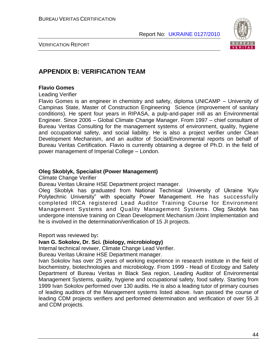

VERIFICATION REPORT

# **APPENDIX B: VERIFICATION TEAM**

#### **Flavio Gomes**

Leading Verifier

Flavio Gomes is an engineer in chemistry and safety, diploma UNICAMP – University of Campinas State, Master of Construction Engineering Science (improvement of sanitary conditions). He spent four years in RIPASA, a pulp-and-paper mill as an Environmental Engineer. Since 2006 – Global Climate Change Manager. From 1997 – chief consultant of Bureau Veritas Consulting for the management systems of environment, quality, hygiene and occupational safety, and social liability. He is also a project verifier under Clean Development Mechanism, and an auditor of Social/Environmental reports on behalf of Bureau Veritas Certification. Flavio is currently obtaining a degree of Ph.D. in the field of power management of Imperial College – London.

#### **Oleg Skoblyk, Specialist (Power Management)**

Climate Change Verifier

Bureau Veritas Ukraine HSE Department project manager.

Oleg Skoblyk has graduated from National Technical University of Ukraine "Kyiv Polytechnic University" with specialty Power Management. He has successfully completed IRCA registered Lead Auditor Training Course for Environment Management Systems and Quality Management Systems. Oleg Skoblyk has undergone intensive training on Clean Development Mechanism /Joint Implementation and he is involved in the determination/verification of 15 JI projects.

Report was reviewed by**:**

#### **Ivan G. Sokolov, Dr. Sci. (biology, microbiology)**

Internal technical reviwer, Climate Change Lead Verifier.

Bureau Veritas Ukraine HSE Department manager.

Ivan Sokolov has over 25 years of working experience in research institute in the field of biochemistry, biotechnologies and microbiology. From 1999 - Head of Ecology and Safety Department of Bureau Veritas in Black Sea region, Leading Auditor of Environmental Management Systems, quality, hygiene and occupational safety, food safety. Starting from 1999 Ivan Sokolov performed over 130 audits. He is also a leading tutor of primary courses of leading auditors of the Management systems listed above. Ivan passed the course of leading CDM projects verifiers and performed determination and verification of over 55 JI and CDM projects.